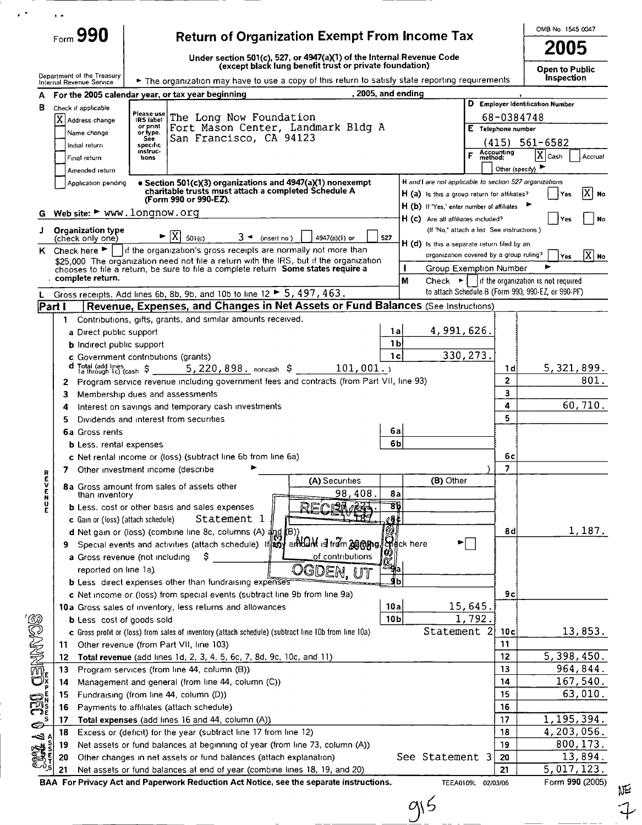|                                                         | $_{\text{Form}}$ 990                         | <b>Return of Organization Exempt From Income Tax</b>                                                                                        |                                                         |                 |                                                                                                    |                       | OMB No 1545 0047                           |           |
|---------------------------------------------------------|----------------------------------------------|---------------------------------------------------------------------------------------------------------------------------------------------|---------------------------------------------------------|-----------------|----------------------------------------------------------------------------------------------------|-----------------------|--------------------------------------------|-----------|
|                                                         |                                              | Under section 501(c), 527, or $4947(a)(1)$ of the Internal Revenue Code                                                                     | (except black lung benefit trust or private foundation) |                 |                                                                                                    |                       | 2005                                       |           |
|                                                         | Department of the Treasury                   | The organization may have to use a copy of this return to satisfy state reporting requirements                                              |                                                         |                 |                                                                                                    |                       | <b>Open to Public</b><br><b>Inspection</b> |           |
|                                                         | Internal Revenue Service                     | A For the 2005 calendar year, or tax year beginning                                                                                         | , 2005, and ending                                      |                 |                                                                                                    |                       |                                            |           |
| в                                                       | Check if applicable                          |                                                                                                                                             |                                                         |                 |                                                                                                    |                       | D Employer Identification Number           |           |
|                                                         | $ X $ Address change                         | Please use<br>The Long Now Foundation<br><b>IRS label</b>                                                                                   |                                                         |                 |                                                                                                    | 68-0384748            |                                            |           |
|                                                         | Name change                                  | Fort Mason Center, Landmark Bldg A<br>or print<br>or type.<br>San Francisco, CA 94123<br><b>See</b>                                         |                                                         |                 |                                                                                                    | $E$ Telephone number  |                                            |           |
|                                                         | Initial return                               | specific<br>instruc-                                                                                                                        |                                                         |                 |                                                                                                    |                       | $(415)$ 561-6582                           |           |
|                                                         | Final return                                 | tions                                                                                                                                       |                                                         |                 |                                                                                                    | Accounting<br>method: | $ X $ Cash                                 | Accrual   |
|                                                         | Amended return                               | · Section 501(c)(3) organizations and 4947(a)(1) nonexempt                                                                                  |                                                         |                 | H and I are not applicable to section 527 organizations                                            |                       | Other (specify)                            |           |
|                                                         | Application pending                          | charitable trusts must attach a completed Schedule A                                                                                        |                                                         |                 | H (a) is this a group return for affiliates?                                                       |                       | Yes                                        | ואו<br>No |
|                                                         |                                              | (Form 990 or 990-EZ).                                                                                                                       |                                                         |                 | H (b) If 'Yes,' enter number of affiliates                                                         |                       |                                            |           |
|                                                         |                                              | Web site: ► www.longnow.org                                                                                                                 |                                                         |                 | H (c) Are all affiliates included?                                                                 |                       | Yes                                        | No        |
| J                                                       | <b>Organization type</b><br>(check only one) | ΙXΙ<br>$3 -$ (insert no)<br>501(c)                                                                                                          | 527<br>4947(a)(i) or                                    |                 | (If 'No,' attach a list See instructions)                                                          |                       |                                            |           |
|                                                         |                                              | K Check here $\blacktriangleright$     If the organization's gross receipts are normally not more than                                      |                                                         |                 | H (d) is this a separate return filed by an                                                        |                       |                                            |           |
|                                                         |                                              | \$25,000 The organization need not file a return with the IRS, but if the organization                                                      |                                                         | п               | organization covered by a group ruling?                                                            |                       | Yes                                        | $ X $ No  |
|                                                         | complete return.                             | chooses to file a return, be sure to file a complete return Some states require a                                                           |                                                         | M               | <b>Group Exemption Number</b><br>Check $\blacktriangleright$   If the organization is not required |                       |                                            |           |
|                                                         |                                              | Gross receipts. Add lines 6b, 8b, 9b, and 10b to line 12 > 5, 497, 463.                                                                     |                                                         |                 | to attach Schedule B (Form 990, 990-EZ, or 990-PF)                                                 |                       |                                            |           |
| Part I                                                  |                                              | Revenue, Expenses, and Changes in Net Assets or Fund Balances (See Instructions)                                                            |                                                         |                 |                                                                                                    |                       |                                            |           |
|                                                         | 1                                            | Contributions, gifts, grants, and similar amounts received.                                                                                 |                                                         |                 |                                                                                                    |                       |                                            |           |
|                                                         | a Direct public support                      |                                                                                                                                             |                                                         | 1a              | 4,991,626.                                                                                         |                       |                                            |           |
|                                                         | <b>b</b> Indirect public support             |                                                                                                                                             |                                                         | 1b              |                                                                                                    |                       |                                            |           |
|                                                         |                                              | c Government contributions (grants)                                                                                                         | 101,001.                                                | 1c              | 330, 273.                                                                                          |                       | 5,321,899.                                 |           |
|                                                         | $\mathbf{2}$                                 | Program service revenue including government fees and contracts (from Part VII, line 93)                                                    |                                                         |                 |                                                                                                    | 1 d<br>$\mathbf{2}$   |                                            | 801.      |
|                                                         | З.                                           | Membership dues and assessments                                                                                                             |                                                         |                 |                                                                                                    | 3                     |                                            |           |
|                                                         | 4                                            | Interest on savings and temporary cash investments                                                                                          |                                                         |                 |                                                                                                    | 4                     |                                            | 60,710.   |
|                                                         | 5                                            | Dividends and interest from securities                                                                                                      |                                                         |                 |                                                                                                    | 5                     |                                            |           |
|                                                         | 6a Gross rents                               |                                                                                                                                             |                                                         | 6а              |                                                                                                    |                       |                                            |           |
|                                                         | <b>b</b> Less, rental expenses               |                                                                                                                                             |                                                         | 6b              |                                                                                                    |                       |                                            |           |
|                                                         |                                              | c Net rental income or (loss) (subtract line 6b from line 6a)                                                                               |                                                         |                 |                                                                                                    | бc                    |                                            |           |
| R                                                       | 7                                            | Other investment income (describe                                                                                                           | (A) Securities                                          |                 | (B) Other                                                                                          | 7                     |                                            |           |
| ヒロロド                                                    | than inventory                               | 8a Gross amount from sales of assets other                                                                                                  | 98,408                                                  | 8а              |                                                                                                    |                       |                                            |           |
|                                                         |                                              | <b>b</b> Less. cost or other basis and sales expenses                                                                                       | RFCEM                                                   | 86              |                                                                                                    |                       |                                            |           |
|                                                         | c Gain or (loss) (attach schedule)           | Statement 1                                                                                                                                 |                                                         | ∦8¢             |                                                                                                    |                       |                                            |           |
|                                                         |                                              | d Net gain or (loss) (combine line 8c, columns (A) and<br>((B                                                                               |                                                         |                 |                                                                                                    | 8d                    |                                            | 1,187.    |
|                                                         | 9.                                           | Special events and activities (attach schedule) If and ant and if it am as a fight of the nere                                              |                                                         |                 |                                                                                                    |                       |                                            |           |
|                                                         |                                              | a Gross revenue (not including<br>s                                                                                                         | of contributions                                        |                 |                                                                                                    |                       |                                            |           |
|                                                         | reported on line 1a).                        |                                                                                                                                             | OGDEN, UT                                               |                 |                                                                                                    |                       |                                            |           |
|                                                         |                                              | <b>b</b> Less direct expenses other than fundraising expenses<br>c Net income or (loss) from special events (subtract line 9b from line 9a) |                                                         | ь               |                                                                                                    | 9с                    |                                            |           |
|                                                         |                                              | 10a Gross sales of inventory, less returns and allowances                                                                                   |                                                         | 10a             | 15,645.                                                                                            |                       |                                            |           |
|                                                         | <b>b</b> Less cost of goods sold             |                                                                                                                                             |                                                         | 10 <sub>b</sub> | 1,792.                                                                                             |                       |                                            |           |
|                                                         |                                              | c Gross profit or (loss) from sales of inventory (attach schedule) (subtract line 10b from line 10a)                                        |                                                         |                 | Statement 2                                                                                        | 10c                   |                                            | 13,853.   |
|                                                         | 11                                           | Other revenue (from Part VII, line 103)                                                                                                     |                                                         |                 |                                                                                                    | 11                    |                                            |           |
|                                                         | 12                                           | Total revenue (add lines 1d, 2, 3, 4, 5, 6c, 7, 8d, 9c, 10c, and 11)                                                                        |                                                         |                 |                                                                                                    | 12                    | 5,398,450.                                 |           |
| CENTURIOS                                               | 13                                           | Program services (from line 44, column (B))                                                                                                 |                                                         |                 |                                                                                                    | 13                    |                                            | 964,844.  |
|                                                         | 14                                           | Management and general (from line 44, column (C))                                                                                           |                                                         |                 |                                                                                                    | 14                    |                                            | 167,540.  |
|                                                         | 15                                           | Fundraising (from line 44, column (D))                                                                                                      |                                                         |                 |                                                                                                    | 15                    |                                            | 63,010.   |
| $\bigoplus_{\alpha}^{\infty} \sum_{n=-\infty}^{\infty}$ | 16<br>17                                     | Payments to affiliates (attach schedule)<br>Total expenses (add lines 16 and 44, column (A))                                                |                                                         |                 |                                                                                                    | 16<br>17              | 1,195,394.                                 |           |
|                                                         | 18                                           | Excess or (deficit) for the year (subtract line 17 from line 12)                                                                            |                                                         |                 |                                                                                                    | 18                    | 4,203,056.                                 |           |
| <b>COOR &amp;</b>                                       | 19                                           | Net assets or fund balances at beginning of year (from line 73, column (A))                                                                 |                                                         |                 |                                                                                                    | 19                    |                                            | 800, 173. |
|                                                         | 20                                           | Other changes in net assets or fund balances (attach explanation)                                                                           |                                                         |                 | See Statement 3                                                                                    | 20                    |                                            | 13,894.   |
|                                                         | 21                                           | Net assets or fund balances at end of year (combine lines 18, 19, and 20)                                                                   |                                                         |                 |                                                                                                    | 21                    | 5,017,123.                                 |           |
|                                                         |                                              | BAA For Privacy Act and Paperwork Reduction Act Notice, see the separate instructions.                                                      |                                                         |                 | TEEA0109L 02/03/06                                                                                 |                       | Form 990 (2005)                            |           |
|                                                         |                                              |                                                                                                                                             |                                                         |                 |                                                                                                    |                       |                                            |           |

 $\epsilon$ 

 $n$ E f<br>F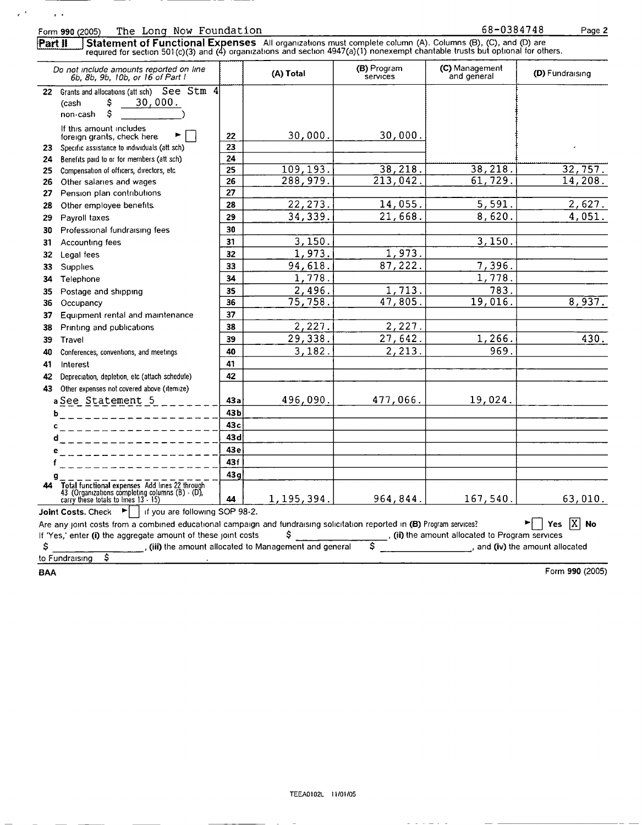$\epsilon^{-1}$ 

 $\alpha$  .

Form 990 (2005) The Long Now Foundation 68-0384748 Page 2<br>
Part II Statement of Functional Expenses All organizations must complete column (A). Columns (B), (C), and (D) are Part II J Statement of Functional Expenses All organizations must complete column (A). Columns (B), (C), and (D) are<br>required for section 501(c)(3) and (4) organizations and section 4947(a)(1) nonexempt charitable trusts b

|    | Do not include amounts reported on line<br>6b. 8b. 9b. 10b. or 16 of Part I                                                               |                 | (A) Total                                            | (B) Program<br>services | (C) Management<br>and general                                 | (D) Fundraising |
|----|-------------------------------------------------------------------------------------------------------------------------------------------|-----------------|------------------------------------------------------|-------------------------|---------------------------------------------------------------|-----------------|
|    | 22 Grants and allocations (att sch) See Stm 4<br>\$<br>30,000.<br>(cash<br>non-cash<br>s                                                  |                 |                                                      |                         |                                                               |                 |
|    | If this amount includes<br>foreign grants, check here                                                                                     | 22              | 30,000.                                              | 30,000.                 |                                                               |                 |
| 23 | Specific assistance to individuals (att sch)                                                                                              | 23              |                                                      |                         |                                                               |                 |
| 24 | Benefits paid to or for members (att sch)                                                                                                 | 24              |                                                      |                         |                                                               |                 |
| 25 | Compensation of officers, directors, etc.                                                                                                 | 25              | 109,193.                                             | 38, 218.                | 38, 218.                                                      | 32, 757.        |
| 26 | Other salaries and wages                                                                                                                  | 26              | 288,979.                                             | $\overline{213,042}$ .  | 61, 729.                                                      | 14,208.         |
| 27 | Pension plan contributions                                                                                                                | 27              |                                                      |                         |                                                               |                 |
| 28 | Other employee benefits.                                                                                                                  | 28              | 22, 273.                                             | 14,055.                 | 5,591.                                                        | 2,627.          |
| 29 | Payroll taxes                                                                                                                             | 29              | 34,339.                                              | 21,668.                 | 8,620.                                                        | 4,051.          |
| 30 | Professional fundraising fees                                                                                                             | 30              |                                                      |                         |                                                               |                 |
| 31 | Accounting fees                                                                                                                           | 31              | 3, 150.                                              |                         | 3,150.                                                        |                 |
| 32 | Legal fees                                                                                                                                | 32              | 1,973.                                               | 1,973.                  |                                                               |                 |
| 33 | Supplies                                                                                                                                  | 33              | 94,618.                                              | 87,222.                 | 7,396.                                                        |                 |
| 34 | Telephone                                                                                                                                 | 34              | 1,778.                                               |                         | 1,778.                                                        |                 |
| 35 | Postage and shipping                                                                                                                      | 35              | 2,496.                                               | 1,713.                  | 783.                                                          |                 |
| 36 | Occupancy                                                                                                                                 | 36              | 75, 758.                                             | 47,805.                 | 19,016.                                                       | 8,937.          |
| 37 | Equipment rental and maintenance                                                                                                          | 37              |                                                      |                         |                                                               |                 |
| 38 | Printing and publications                                                                                                                 | 38              | 2,227.                                               | 2,227.                  |                                                               |                 |
| 39 | Travel                                                                                                                                    | 39              | 29,338.                                              | 27,642.                 | 1,266.                                                        | 430.            |
| 40 | Conferences, conventions, and meetings                                                                                                    | 40              | 3,182.                                               | 2,213.                  | 969.                                                          |                 |
| 41 | Interest                                                                                                                                  | 41              |                                                      |                         |                                                               |                 |
| 42 | Depreciation, depletion, etc (attach schedule)                                                                                            | 42              |                                                      |                         |                                                               |                 |
| 43 | Other expenses not covered above (itemize)                                                                                                |                 |                                                      |                         |                                                               |                 |
|    | a See Statement $5$ _______                                                                                                               | 43a             | 496,090.                                             | 477,066.                | 19,024.                                                       |                 |
|    | -------------------<br>ь                                                                                                                  | 43b             |                                                      |                         |                                                               |                 |
|    | c.<br>-------------------                                                                                                                 | 43 <sub>c</sub> |                                                      |                         |                                                               |                 |
|    | d__________ <b>____</b> ___                                                                                                               | 43 dl           |                                                      |                         |                                                               |                 |
|    |                                                                                                                                           | 43e             |                                                      |                         |                                                               |                 |
|    | --------------                                                                                                                            | 43f             |                                                      |                         |                                                               |                 |
|    | _ _ _ _ _ _ _ _ _ _ _                                                                                                                     | 43q             |                                                      |                         |                                                               |                 |
| 44 | Total functional expenses Add lines 22 through<br>43 (Organizations completing columns (B) - (D),<br>carry these totals to lines 13 - 15) | 44              | 1, 195, 394.                                         | 964,844.                | 167,540.                                                      | 63,010.         |
|    | <b>Joint Costs.</b> Check $\blacktriangleright$   if you are following SOP 98-2.                                                          |                 |                                                      |                         |                                                               |                 |
|    | Are any joint costs from a combined educational campaign and fundraising solicitation reported in (B) Program services?                   |                 |                                                      |                         |                                                               | Yes $[X]$ No    |
|    | If 'Yes,' enter (i) the aggregate amount of these joint costs                                                                             |                 | \$                                                   |                         | $\frac{1}{2}$ , (ii) the amount allocated to Program services |                 |
| \$ |                                                                                                                                           |                 | (iii) the amount allocated to Management and general | \$.                     | $\overline{\phantom{a}}$ and (iv) the amount allocated        |                 |
|    | \$<br>to Fundraising                                                                                                                      |                 |                                                      |                         |                                                               |                 |

BAA Form 990 (2005)

 $\omega = \omega \quad \omega = \omega \quad \omega = \omega \quad \omega$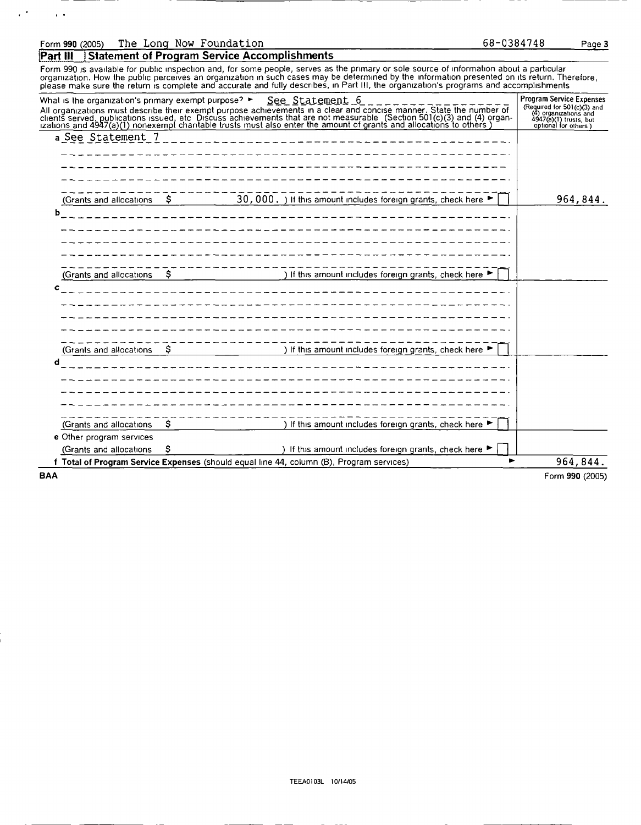## Form <sup>990</sup> (2005) The Long Now Foundation

 $\mathcal{C}^{\mathcal{A}}$ 

 $\overline{1}$ 

**Part III** Statement of Program Service Accomplishments

Form 990 is available for public inspection and, for some people, serves as the primary or sole source of information about a particular organization. How the public perceives an organization in such cases may be determined by the information presented on its return. Therefore,<br>please make sure the return is complete and accurate and fully describes, in Par

|            | What is the organization's primary exempt purpose? $\blacktriangleright$ |    | <u>See Statement 6</u><br>All organizations must describe their exempt purpose achievements in a clear and concise manner. State the number of clients served, publications issued, etc. Discuss achievements that are not measurable. (Section 501(c)(3 | <b>Program Service Expenses</b><br>(Required for $501(c)$ (3) and<br>(4) organizations and<br>4947(a)(1) trusts, but<br>optional for others) |
|------------|--------------------------------------------------------------------------|----|----------------------------------------------------------------------------------------------------------------------------------------------------------------------------------------------------------------------------------------------------------|----------------------------------------------------------------------------------------------------------------------------------------------|
|            | a See Statement 7                                                        |    | ____________ <b>__________</b> __                                                                                                                                                                                                                        |                                                                                                                                              |
|            |                                                                          |    |                                                                                                                                                                                                                                                          |                                                                                                                                              |
|            |                                                                          |    |                                                                                                                                                                                                                                                          |                                                                                                                                              |
|            |                                                                          |    |                                                                                                                                                                                                                                                          |                                                                                                                                              |
|            |                                                                          |    |                                                                                                                                                                                                                                                          |                                                                                                                                              |
|            | (Grants and allocations                                                  | -S | 30,000. ) If this amount includes foreign grants, check here ►                                                                                                                                                                                           | 964,844.                                                                                                                                     |
| ь          |                                                                          |    | ______________ <b>______________________</b>                                                                                                                                                                                                             |                                                                                                                                              |
|            |                                                                          |    |                                                                                                                                                                                                                                                          |                                                                                                                                              |
|            |                                                                          |    |                                                                                                                                                                                                                                                          |                                                                                                                                              |
|            |                                                                          |    |                                                                                                                                                                                                                                                          |                                                                                                                                              |
|            |                                                                          |    |                                                                                                                                                                                                                                                          |                                                                                                                                              |
|            | (Grants and allocations                                                  | -S | ) If this amount includes foreign grants, check here ▶                                                                                                                                                                                                   |                                                                                                                                              |
| c          |                                                                          |    |                                                                                                                                                                                                                                                          |                                                                                                                                              |
|            |                                                                          |    | _____________________________________                                                                                                                                                                                                                    |                                                                                                                                              |
|            |                                                                          |    |                                                                                                                                                                                                                                                          |                                                                                                                                              |
|            |                                                                          |    |                                                                                                                                                                                                                                                          |                                                                                                                                              |
|            |                                                                          |    |                                                                                                                                                                                                                                                          |                                                                                                                                              |
|            | (Grants and allocations)                                                 | S. | -----------<br>1. (1992) If this amount includes foreign grants, check here ►                                                                                                                                                                            |                                                                                                                                              |
| d          |                                                                          |    |                                                                                                                                                                                                                                                          |                                                                                                                                              |
|            |                                                                          |    |                                                                                                                                                                                                                                                          |                                                                                                                                              |
|            |                                                                          |    |                                                                                                                                                                                                                                                          |                                                                                                                                              |
|            |                                                                          |    |                                                                                                                                                                                                                                                          |                                                                                                                                              |
|            |                                                                          |    |                                                                                                                                                                                                                                                          |                                                                                                                                              |
|            |                                                                          |    |                                                                                                                                                                                                                                                          |                                                                                                                                              |
|            | (Grants and allocations                                                  | Ş. | ) If this amount includes foreign grants, check here ▶                                                                                                                                                                                                   |                                                                                                                                              |
|            | e Other program services                                                 |    |                                                                                                                                                                                                                                                          |                                                                                                                                              |
|            | (Grants and allocations                                                  | s  | ) If this amount includes foreign grants, check here ▶                                                                                                                                                                                                   |                                                                                                                                              |
|            |                                                                          |    | f Total of Program Service Expenses (should equal line 44, column (B), Program services)                                                                                                                                                                 | 964,844.                                                                                                                                     |
| <b>BAA</b> |                                                                          |    |                                                                                                                                                                                                                                                          | Form 990 (2005)                                                                                                                              |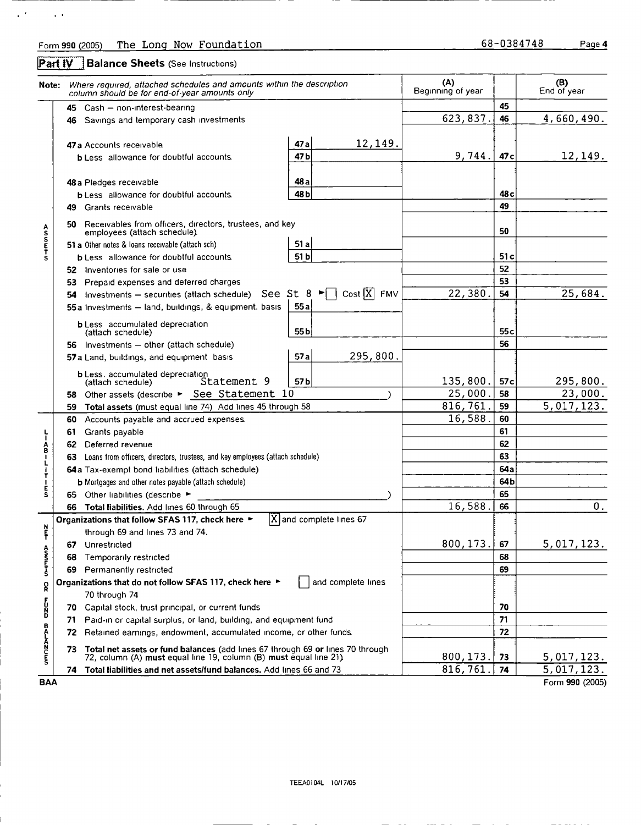**Part IV** Balance Sheets (See Instructions)

 $\mathcal{L}^{(k)}$ 

 $\sim 100$ 

|                   | Note: Where required, attached schedules and amounts within the description<br>column should be for end-of-year amounts only                                | (A)<br>Beginning of year |                 | (B)<br>End of year |
|-------------------|-------------------------------------------------------------------------------------------------------------------------------------------------------------|--------------------------|-----------------|--------------------|
|                   | Cash - non-interest-bearing<br>45                                                                                                                           |                          | 45              |                    |
|                   | Savings and temporary cash investments<br>46                                                                                                                | 623,837.                 | 46              | 4,660,490.         |
|                   |                                                                                                                                                             |                          |                 |                    |
|                   | 12,149.<br>47 а<br>47 a Accounts receivable                                                                                                                 |                          |                 |                    |
|                   | 47b<br><b>b</b> Less allowance for doubtful accounts                                                                                                        | 9,744.                   | 47 <sub>c</sub> | 12,149.            |
|                   | 48 a<br>48 a Piedges receivable                                                                                                                             |                          |                 |                    |
|                   | 48 <sub>b</sub><br><b>b</b> Less allowance for doubtful accounts.                                                                                           |                          | 48 c            |                    |
|                   | Grants receivable<br>49                                                                                                                                     |                          | 49              |                    |
|                   | Receivables from officers, directors, trustees, and key<br>50.                                                                                              |                          | 50              |                    |
| <b>ASSETS</b>     | employees (attach schedule).<br>51a<br>51 a Other notes & loans receivable (attach sch)                                                                     |                          |                 |                    |
|                   | 51 b<br><b>b</b> Less allowance for doubtful accounts.                                                                                                      |                          | 51c             |                    |
|                   | Inventories for sale or use<br>52                                                                                                                           |                          | 52              |                    |
|                   | Prepaid expenses and deferred charges<br>53                                                                                                                 |                          | 53              |                    |
|                   | Cost $\overline{X}$ FMV<br>See St $8 \blacktriangleright \square$<br>Investments - securities (attach schedule)<br>54                                       | 22,380                   | 54              | 25,684.            |
|                   | 55a<br>55 a Investments - land, buildings, & equipment. basis                                                                                               |                          |                 |                    |
|                   | <b>b</b> Less accumulated depreciation                                                                                                                      |                          |                 |                    |
|                   | 55b<br>(attach schedule)                                                                                                                                    |                          | 55 <sub>c</sub> |                    |
|                   | Investments - other (attach schedule)<br>56.                                                                                                                |                          | 56              |                    |
|                   | 295,800.<br>57 a<br>57 a Land, buildings, and equipment basis                                                                                               |                          |                 |                    |
|                   | <b>b</b> Less. accumulated depreciation<br>57b<br>Statement 9<br>(attach schedule)                                                                          | 135,800                  | 57c             | 295,800.           |
|                   | Other assets (describe ► See Statement 10<br>58                                                                                                             | 25,000                   | 58              | 23,000.            |
|                   | Total assets (must equal line 74) Add lines 45 through 58<br>59                                                                                             | 816,761                  | 59              | 5,017,123.         |
|                   | 60<br>Accounts payable and accrued expenses.                                                                                                                | 16, 588.                 | 60              |                    |
| ١                 | Grants payable<br>61                                                                                                                                        |                          | 61              |                    |
|                   | Deferred revenue<br>62                                                                                                                                      |                          | 62              |                    |
| AB<br>-<br>-<br>L | Loans from officers, directors, trustees, and key employees (attach schedule)<br>63                                                                         |                          | 63              |                    |
|                   | 64a Tax-exempt bond liabilities (attach schedule)                                                                                                           |                          | 64a             |                    |
| т                 | <b>b</b> Mortgages and other notes payable (attach schedule)                                                                                                |                          | 64b             |                    |
| Е<br>s            | 65 Other liabilities (describe $\blacktriangleright$                                                                                                        |                          | 65              |                    |
|                   | Total liabilities. Add lines 60 through 65<br>66                                                                                                            | 16,588.                  | 66              | $\boldsymbol{0}$ . |
|                   | X and complete lines 67<br>Organizations that follow SFAS 117, check here ►                                                                                 |                          |                 |                    |
| 로쿠                | through 69 and lines 73 and 74.                                                                                                                             |                          |                 |                    |
|                   | 67 Unrestricted                                                                                                                                             | 800, 173.                | 67              | 5,017,123.         |
| <b>ASSET</b>      | 68<br>Temporarily restricted                                                                                                                                |                          | 68              |                    |
|                   | Permanently restricted<br>69                                                                                                                                |                          | 69              |                    |
| R                 | Organizations that do not follow SFAS 117, check here ▶<br>and complete lines                                                                               |                          |                 |                    |
|                   | 70 through 74                                                                                                                                               |                          |                 |                    |
|                   | Capital stock, trust principal, or current funds<br>70                                                                                                      |                          | 70              |                    |
|                   |                                                                                                                                                             |                          | 71              |                    |
| DZCT              | Paid-in or capital surplus, or land, building, and equipment fund<br>71                                                                                     |                          |                 |                    |
|                   | Retained earnings, endowment, accumulated income, or other funds<br>72                                                                                      |                          | 72              |                    |
| <b>BALANCES</b>   | Total net assets or fund balances (add lines 67 through 69 or lines 70 through<br>73.<br>72, column (A) must equal line 19, column (B) must equal line 21). | 800, 173.                | 73              | 5,017,123.         |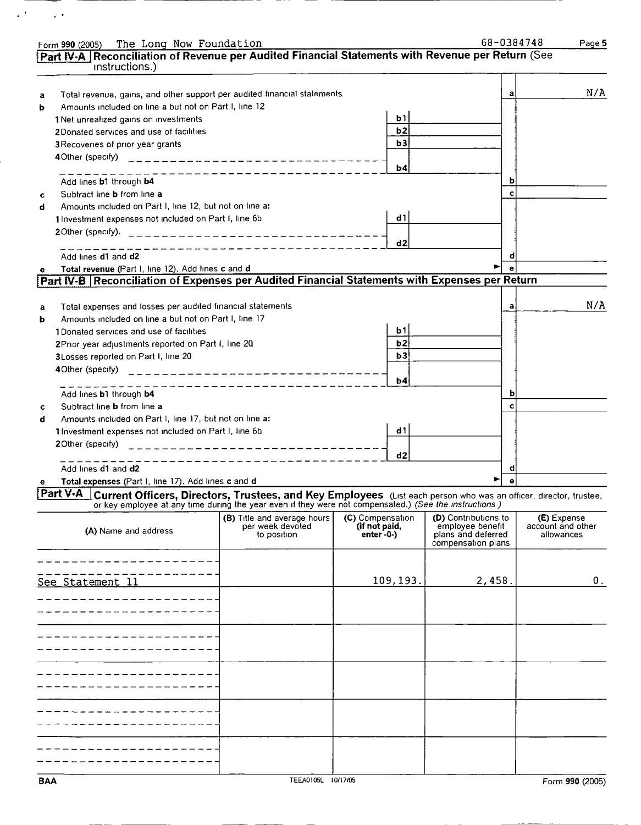|   | Form 990 (2005) The Long Now Foundation                                                                                                                                                                                                      |                                                 |                  |           |                                                 |   | 68-0384748<br>Page 5 |
|---|----------------------------------------------------------------------------------------------------------------------------------------------------------------------------------------------------------------------------------------------|-------------------------------------------------|------------------|-----------|-------------------------------------------------|---|----------------------|
|   | Part IV-A Reconciliation of Revenue per Audited Financial Statements with Revenue per Return (See                                                                                                                                            |                                                 |                  |           |                                                 |   |                      |
|   | instructions.)                                                                                                                                                                                                                               |                                                 |                  |           |                                                 |   |                      |
|   |                                                                                                                                                                                                                                              |                                                 |                  |           |                                                 |   |                      |
| а | Total revenue, gains, and other support per audited financial statements.                                                                                                                                                                    |                                                 |                  |           |                                                 | а | N/A                  |
| b | Amounts included on line a but not on Part I, line 12                                                                                                                                                                                        |                                                 |                  |           |                                                 |   |                      |
|   | 1 Net unrealized gains on investments                                                                                                                                                                                                        |                                                 |                  | b1        |                                                 |   |                      |
|   | 2Donated services and use of facilities                                                                                                                                                                                                      |                                                 |                  | <b>b2</b> |                                                 |   |                      |
|   | 3 Recoveries of prior year grants                                                                                                                                                                                                            |                                                 |                  | b3        |                                                 |   |                      |
|   |                                                                                                                                                                                                                                              |                                                 |                  |           |                                                 |   |                      |
|   |                                                                                                                                                                                                                                              |                                                 |                  | b4        |                                                 |   |                      |
|   |                                                                                                                                                                                                                                              |                                                 |                  |           |                                                 |   |                      |
|   | Add lines b1 through b4                                                                                                                                                                                                                      |                                                 |                  |           |                                                 |   |                      |
| c | Subtract line <b>b</b> from line a                                                                                                                                                                                                           |                                                 |                  |           |                                                 |   |                      |
| d | Amounts included on Part I, line 12, but not on line a:                                                                                                                                                                                      |                                                 |                  |           |                                                 |   |                      |
|   | 1 Investment expenses not included on Part I, line 6b                                                                                                                                                                                        |                                                 |                  | d1        |                                                 |   |                      |
|   | 20ther (specify).                                                                                                                                                                                                                            | ----------------------------                    |                  |           |                                                 |   |                      |
|   |                                                                                                                                                                                                                                              | ___________ <b>_______</b> _____                |                  | d2        |                                                 |   |                      |
|   | Add lines d1 and d2                                                                                                                                                                                                                          |                                                 |                  |           |                                                 | σ |                      |
| е | Total revenue (Part I, line 12). Add lines c and d                                                                                                                                                                                           |                                                 |                  |           |                                                 |   |                      |
|   | [Part IV-B   Reconciliation of Expenses per Audited Financial Statements with Expenses per Return                                                                                                                                            |                                                 |                  |           |                                                 |   |                      |
|   |                                                                                                                                                                                                                                              |                                                 |                  |           |                                                 |   |                      |
|   | Total expenses and losses per audited financial statements                                                                                                                                                                                   |                                                 |                  |           |                                                 | а | N/A                  |
| а | Amounts included on line a but not on Part I, line 17                                                                                                                                                                                        |                                                 |                  |           |                                                 |   |                      |
| b |                                                                                                                                                                                                                                              |                                                 |                  | b1        |                                                 |   |                      |
|   | 1Donated services and use of facilities                                                                                                                                                                                                      |                                                 |                  |           |                                                 |   |                      |
|   | 2Prior year adjustments reported on Part I, line 20                                                                                                                                                                                          |                                                 |                  | b2        |                                                 |   |                      |
|   | 3Losses reported on Part I, line 20                                                                                                                                                                                                          |                                                 |                  | b3        |                                                 |   |                      |
|   | 4Other (specify)                                                                                                                                                                                                                             | --------------------------                      |                  |           |                                                 |   |                      |
|   | $\frac{1}{2}$                                                                                                                                                                                                                                |                                                 |                  | b4        |                                                 |   |                      |
|   | Add lines b1 through b4                                                                                                                                                                                                                      |                                                 |                  |           |                                                 | Þ |                      |
| c | Subtract line <b>b</b> from line a                                                                                                                                                                                                           |                                                 |                  |           |                                                 | с |                      |
| d | Amounts included on Part I, line 17, but not on line a:                                                                                                                                                                                      |                                                 |                  |           |                                                 |   |                      |
|   | 1 Investment expenses not included on Part I, line 6b                                                                                                                                                                                        |                                                 |                  | d1        |                                                 |   |                      |
|   | 20ther (specify)                                                                                                                                                                                                                             | _______ <b>_____</b> ______________             |                  |           |                                                 |   |                      |
|   |                                                                                                                                                                                                                                              |                                                 |                  | d2        |                                                 |   |                      |
|   | Add lines d1 and d2                                                                                                                                                                                                                          | _ _ _ _ _ _ _ _ _ _ _ _ _ _ _                   |                  |           |                                                 |   |                      |
|   | Total expenses (Part I, line 17). Add lines c and d                                                                                                                                                                                          |                                                 |                  |           |                                                 |   |                      |
| е |                                                                                                                                                                                                                                              |                                                 |                  |           |                                                 |   |                      |
|   | <b>Part V-A</b> Current Officers, Directors, Trustees, and Key Employees (List each person who was an officer, director, trustee,<br>or key employee at any time during the year even if they were not compensated.) (See the instructions ) |                                                 |                  |           |                                                 |   |                      |
|   |                                                                                                                                                                                                                                              |                                                 | (C) Compensation |           |                                                 |   | (E) Expense          |
|   |                                                                                                                                                                                                                                              | (B) Title and average hours<br>per week devoted | (if not paid,    |           | <b>(D)</b> Contributions to<br>employee benefit |   | account and other    |
|   | (A) Name and address                                                                                                                                                                                                                         | to position                                     | $enter - 0-$     |           | plans and deferred                              |   | allowances           |
|   |                                                                                                                                                                                                                                              |                                                 |                  |           | compensation plans                              |   |                      |
|   |                                                                                                                                                                                                                                              |                                                 |                  |           |                                                 |   |                      |
|   |                                                                                                                                                                                                                                              |                                                 |                  |           |                                                 |   |                      |
|   | See Statement 11                                                                                                                                                                                                                             |                                                 |                  | 109, 193. | 2,458.                                          |   | 0.                   |
|   |                                                                                                                                                                                                                                              |                                                 |                  |           |                                                 |   |                      |
|   |                                                                                                                                                                                                                                              |                                                 |                  |           |                                                 |   |                      |
|   |                                                                                                                                                                                                                                              |                                                 |                  |           |                                                 |   |                      |
|   |                                                                                                                                                                                                                                              |                                                 |                  |           |                                                 |   |                      |
|   |                                                                                                                                                                                                                                              |                                                 |                  |           |                                                 |   |                      |
|   |                                                                                                                                                                                                                                              |                                                 |                  |           |                                                 |   |                      |
|   |                                                                                                                                                                                                                                              |                                                 |                  |           |                                                 |   |                      |
|   |                                                                                                                                                                                                                                              |                                                 |                  |           |                                                 |   |                      |
|   |                                                                                                                                                                                                                                              |                                                 |                  |           |                                                 |   |                      |
|   |                                                                                                                                                                                                                                              |                                                 |                  |           |                                                 |   |                      |
|   |                                                                                                                                                                                                                                              |                                                 |                  |           |                                                 |   |                      |
|   |                                                                                                                                                                                                                                              |                                                 |                  |           |                                                 |   |                      |
|   |                                                                                                                                                                                                                                              |                                                 |                  |           |                                                 |   |                      |
|   |                                                                                                                                                                                                                                              |                                                 |                  |           |                                                 |   |                      |
|   |                                                                                                                                                                                                                                              |                                                 |                  |           |                                                 |   |                      |
|   |                                                                                                                                                                                                                                              |                                                 |                  |           |                                                 |   |                      |

 $\sqrt{2}$  ,  $\sqrt{2}$  ,  $\sqrt{2}$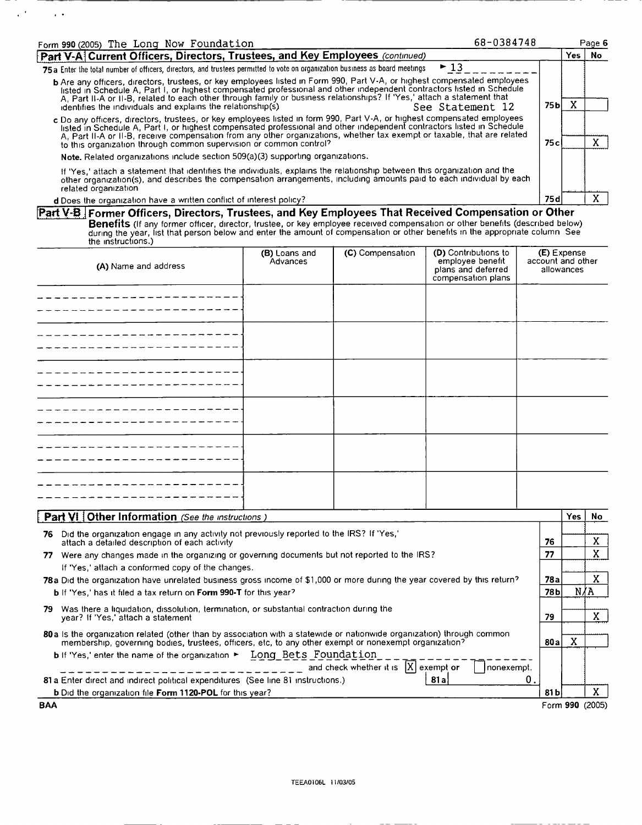| Form 990 (2005) The Long Now Foundation                                                                                                                                                                                                                                                                                                                                                                                                      |                                                                                                                                                                                                                                                                                                                                                                               |                                         | 68-0384748                                                                           |                                  |            | Page 6          |  |
|----------------------------------------------------------------------------------------------------------------------------------------------------------------------------------------------------------------------------------------------------------------------------------------------------------------------------------------------------------------------------------------------------------------------------------------------|-------------------------------------------------------------------------------------------------------------------------------------------------------------------------------------------------------------------------------------------------------------------------------------------------------------------------------------------------------------------------------|-----------------------------------------|--------------------------------------------------------------------------------------|----------------------------------|------------|-----------------|--|
| Part V-A Current Officers, Directors, Trustees, and Key Employees (continued)                                                                                                                                                                                                                                                                                                                                                                |                                                                                                                                                                                                                                                                                                                                                                               |                                         |                                                                                      |                                  | <b>Yes</b> | No.             |  |
| 75a Enter the total number of officers, directors, and trustees permitted to vote on organization business as board meetings                                                                                                                                                                                                                                                                                                                 |                                                                                                                                                                                                                                                                                                                                                                               |                                         | $-13$                                                                                |                                  |            |                 |  |
| b Are any officers, directors, trustees, or key employees listed in Form 990, Part V-A, or highest compensated employees<br>listed in Schedule A, Part I, or highest compensated professional and other independent contractors listed in Schedule<br>A, Part II-A or II-B, related to each other through family or business relationships? If 'Yes,' attach a statement that<br>identifies the individuals and explains the relationship(s) |                                                                                                                                                                                                                                                                                                                                                                               |                                         | See Statement 12                                                                     | 75 <sub>b</sub>                  | X          |                 |  |
| to this organization through common supervision or common control?                                                                                                                                                                                                                                                                                                                                                                           | c Do any officers, directors, trustees, or key employees listed in form 990, Part V-A, or highest compensated employees<br>listed in Schedule A, Part I, or highest compensated professional and other independent contractors listed in Schedule<br>A, Part II-A or II-B, receive compensation from any other organizations, whether tax exempt or taxable, that are related |                                         |                                                                                      |                                  |            |                 |  |
| Note. Related organizations include section 509(a)(3) supporting organizations.                                                                                                                                                                                                                                                                                                                                                              |                                                                                                                                                                                                                                                                                                                                                                               |                                         |                                                                                      |                                  |            |                 |  |
| If 'Yes,' attach a statement that identifies the individuals, explains the relationship between this organization and the<br>other organization(s), and describes the compensation arrangements, including amounts paid to each individual by each<br>related organization                                                                                                                                                                   |                                                                                                                                                                                                                                                                                                                                                                               |                                         |                                                                                      |                                  |            |                 |  |
| d Does the organization have a written conflict of interest policy?                                                                                                                                                                                                                                                                                                                                                                          |                                                                                                                                                                                                                                                                                                                                                                               |                                         |                                                                                      | 75 d                             |            | X               |  |
| Part V-B Former Officers, Directors, Trustees, and Key Employees That Received Compensation or Other<br>Benefits (If any former officer, director, trustee, or key employee received compensation or other benefits (described below)<br>during the year, list that person below and enter the amount of compensation or other benefits in the appropriate column See<br>the instructions.)                                                  |                                                                                                                                                                                                                                                                                                                                                                               |                                         |                                                                                      |                                  |            |                 |  |
| (A) Name and address                                                                                                                                                                                                                                                                                                                                                                                                                         | (B) Loans and<br>Advances                                                                                                                                                                                                                                                                                                                                                     | (C) Compensation                        | (D) Contributions to<br>employee benefit<br>plans and deferred<br>compensation plans | (E) Expense<br>account and other | allowances |                 |  |
|                                                                                                                                                                                                                                                                                                                                                                                                                                              |                                                                                                                                                                                                                                                                                                                                                                               |                                         |                                                                                      |                                  |            |                 |  |
|                                                                                                                                                                                                                                                                                                                                                                                                                                              |                                                                                                                                                                                                                                                                                                                                                                               |                                         |                                                                                      |                                  |            |                 |  |
|                                                                                                                                                                                                                                                                                                                                                                                                                                              |                                                                                                                                                                                                                                                                                                                                                                               |                                         |                                                                                      |                                  |            |                 |  |
|                                                                                                                                                                                                                                                                                                                                                                                                                                              |                                                                                                                                                                                                                                                                                                                                                                               |                                         |                                                                                      |                                  |            |                 |  |
|                                                                                                                                                                                                                                                                                                                                                                                                                                              |                                                                                                                                                                                                                                                                                                                                                                               |                                         |                                                                                      |                                  |            |                 |  |
|                                                                                                                                                                                                                                                                                                                                                                                                                                              |                                                                                                                                                                                                                                                                                                                                                                               |                                         |                                                                                      |                                  |            |                 |  |
|                                                                                                                                                                                                                                                                                                                                                                                                                                              |                                                                                                                                                                                                                                                                                                                                                                               |                                         |                                                                                      |                                  |            |                 |  |
|                                                                                                                                                                                                                                                                                                                                                                                                                                              |                                                                                                                                                                                                                                                                                                                                                                               |                                         |                                                                                      |                                  |            |                 |  |
|                                                                                                                                                                                                                                                                                                                                                                                                                                              |                                                                                                                                                                                                                                                                                                                                                                               |                                         |                                                                                      |                                  |            |                 |  |
|                                                                                                                                                                                                                                                                                                                                                                                                                                              |                                                                                                                                                                                                                                                                                                                                                                               |                                         |                                                                                      |                                  |            |                 |  |
|                                                                                                                                                                                                                                                                                                                                                                                                                                              |                                                                                                                                                                                                                                                                                                                                                                               |                                         |                                                                                      |                                  |            |                 |  |
|                                                                                                                                                                                                                                                                                                                                                                                                                                              |                                                                                                                                                                                                                                                                                                                                                                               |                                         |                                                                                      |                                  |            |                 |  |
| <b>Part VI   Other Information</b> (See the instructions)                                                                                                                                                                                                                                                                                                                                                                                    |                                                                                                                                                                                                                                                                                                                                                                               |                                         |                                                                                      |                                  | Yes        | No              |  |
| 76 Did the organization engage in any activity not previously reported to the IRS? If 'Yes,'<br>attach a detailed description of each activity                                                                                                                                                                                                                                                                                               |                                                                                                                                                                                                                                                                                                                                                                               |                                         |                                                                                      | 76                               |            | X               |  |
| Were any changes made in the organizing or governing documents but not reported to the IRS?<br>77                                                                                                                                                                                                                                                                                                                                            |                                                                                                                                                                                                                                                                                                                                                                               |                                         |                                                                                      | 77                               |            | X.              |  |
| If 'Yes,' attach a conformed copy of the changes.                                                                                                                                                                                                                                                                                                                                                                                            |                                                                                                                                                                                                                                                                                                                                                                               |                                         |                                                                                      |                                  |            |                 |  |
| 78a Did the organization have unrelated business gross income of \$1,000 or more during the year covered by this return?                                                                                                                                                                                                                                                                                                                     |                                                                                                                                                                                                                                                                                                                                                                               |                                         |                                                                                      | 78a                              |            | X.              |  |
| b If 'Yes,' has it filed a tax return on Form 990-T for this year?                                                                                                                                                                                                                                                                                                                                                                           |                                                                                                                                                                                                                                                                                                                                                                               |                                         |                                                                                      | 78 b                             | N∥A        |                 |  |
| 79 Was there a liquidation, dissolution, termination, or substantial contraction during the<br>year? If 'Yes,' attach a statement                                                                                                                                                                                                                                                                                                            |                                                                                                                                                                                                                                                                                                                                                                               |                                         |                                                                                      | 79                               |            | X.              |  |
| 80 a Is the organization related (other than by association with a statewide or nationwide organization) through common<br>membership, governing bodies, trustees, officers, etc, to any other exempt or nonexempt organization?                                                                                                                                                                                                             |                                                                                                                                                                                                                                                                                                                                                                               |                                         |                                                                                      | 80a                              | X          |                 |  |
| <b>b</b> If 'Yes,' enter the name of the organization $\blacktriangleright$ Long Bets Foundation                                                                                                                                                                                                                                                                                                                                             |                                                                                                                                                                                                                                                                                                                                                                               | and check whether it is $ X $ exempt or | nonexempt.                                                                           |                                  |            |                 |  |
| 81 a Enter direct and indirect political expenditures (See line 81 instructions.)                                                                                                                                                                                                                                                                                                                                                            |                                                                                                                                                                                                                                                                                                                                                                               |                                         | 81 a                                                                                 | 0.                               |            |                 |  |
| b Did the organization file Form 1120-POL for this year?                                                                                                                                                                                                                                                                                                                                                                                     |                                                                                                                                                                                                                                                                                                                                                                               |                                         |                                                                                      | 81 b                             |            | X.              |  |
| <b>BAA</b>                                                                                                                                                                                                                                                                                                                                                                                                                                   |                                                                                                                                                                                                                                                                                                                                                                               |                                         |                                                                                      |                                  |            | Form 990 (2005) |  |

 $\equiv$ 

 $\mathcal{L}(\mathcal{A})$  is a set of  $\mathcal{A}$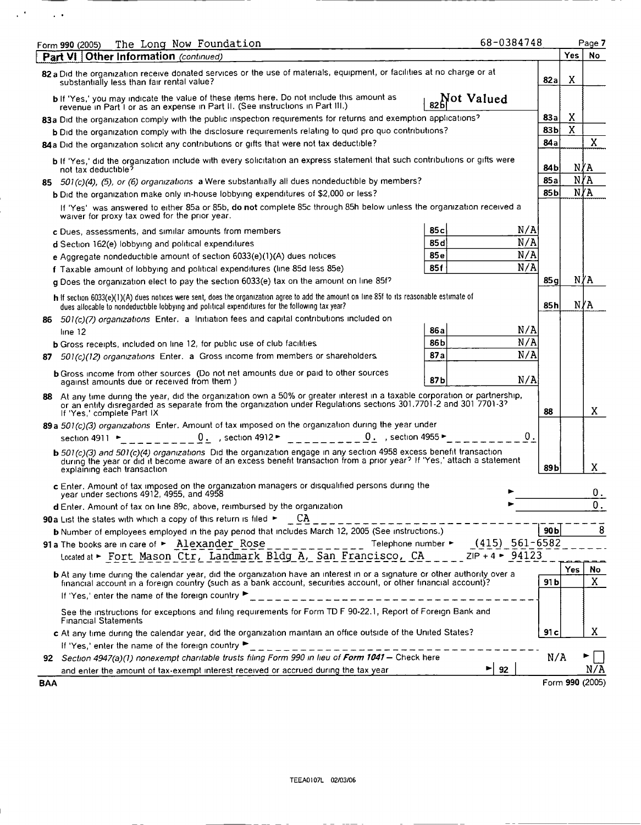|            | The Long Now Foundation<br>Form 990 (2005)                                                                                                                                                                                                                                    |            | 68-0384748                                           |        | Page 7          |
|------------|-------------------------------------------------------------------------------------------------------------------------------------------------------------------------------------------------------------------------------------------------------------------------------|------------|------------------------------------------------------|--------|-----------------|
|            | Part VI   Other Information (continued)                                                                                                                                                                                                                                       |            |                                                      | Yes    | No              |
|            | 82 a Did the organization receive donated services or the use of materials, equipment, or facilities at no charge or at<br>substantially less than fair rental value?                                                                                                         |            | 82a                                                  | X      |                 |
|            | b If 'Yes,' you may indicate the value of these items here. Do not include this amount as                                                                                                                                                                                     | Not Valued |                                                      |        |                 |
|            | revenue in Part I or as an expense in Part II. (See instructions in Part III.)                                                                                                                                                                                                |            |                                                      |        |                 |
|            | 83a Did the organization comply with the public inspection requirements for returns and exemption applications?                                                                                                                                                               |            | 83a<br>83 bl                                         | X<br>X |                 |
|            | b Did the organization comply with the disclosure requirements relating to quid pro quo contributions?                                                                                                                                                                        |            | 84 a                                                 |        | X               |
|            | 84a Did the organization solicit any contributions or gifts that were not tax deductible?                                                                                                                                                                                     |            |                                                      |        |                 |
|            | b If 'Yes,' did the organization include with every solicitation an express statement that such contributions or gifts were<br>not tax deductible?                                                                                                                            |            | 84 b                                                 |        | NYA             |
|            | 85 501(c)(4), (5), or (6) organizations a Were substantially all dues nondeductible by members?                                                                                                                                                                               |            | 85 a                                                 |        | N/A             |
|            | b Did the organization make only in-house lobbying expenditures of \$2,000 or less?                                                                                                                                                                                           |            | 85 b                                                 |        | N∤A             |
|            | If 'Yes' was answered to either 85a or 85b, do not complete 85c through 85h below unless the organization received a<br>waiver for proxy tax owed for the prior year.                                                                                                         |            |                                                      |        |                 |
|            | c Dues, assessments, and similar amounts from members                                                                                                                                                                                                                         | 85 c       | N/A                                                  |        |                 |
|            | d Section 162(e) lobbying and political expenditures                                                                                                                                                                                                                          | 85 d       | N/A                                                  |        |                 |
|            | e Agaregate nondeductible amount of section $6033(e)(1)(A)$ dues notices                                                                                                                                                                                                      | 85 e       | N/A                                                  |        |                 |
|            | f Taxable amount of lobbying and political expenditures (line 85d less 85e)                                                                                                                                                                                                   | 85 f       | N/A                                                  |        |                 |
|            | g Does the organization elect to pay the section 6033(e) tax on the amount on line 85f?                                                                                                                                                                                       |            | 85 g                                                 |        | N∦A             |
|            | h if section 6033(e)(1)(A) dues notices were sent, does the organization agree to add the amount on line 85f to its reasonable estimate of<br>dues allocable to nondeductible lobbying and political expenditures for the following tax year?                                 |            | 85 h                                                 |        | N∦A             |
|            | 86 501(c)(7) organizations Enter. a Initiation fees and capital contributions included on                                                                                                                                                                                     |            |                                                      |        |                 |
|            | line 12                                                                                                                                                                                                                                                                       | 86 a       | N/A                                                  |        |                 |
|            | b Gross receipts, included on line 12, for public use of club facilities                                                                                                                                                                                                      | 86 b       | N/A                                                  |        |                 |
| 87.        | 501(c)(12) organizations Enter. a Gross income from members or shareholders.                                                                                                                                                                                                  | 87 a       | N/A                                                  |        |                 |
|            | <b>b</b> Gross income from other sources (Do not net amounts due or paid to other sources<br>against amounts due or received from them.)                                                                                                                                      | 87 b       | N/A                                                  |        |                 |
|            | 88 At any time during the year, did the organization own a 50% or greater interest in a taxable corporation or partnership,<br>or an entity disregarded as separate from the organization under Regulations sections 301.7701-2 and 301 7701-37<br>If 'Yes,' complete Part IX |            | 88                                                   |        | X               |
|            | 89 a 501(c)(3) organizations Enter. Amount of tax imposed on the organization during the year under                                                                                                                                                                           |            |                                                      |        |                 |
|            | 0. , section 4912 ► $\qquad \qquad$ _ _ _ _ _ _ _ _ _ 0. , section 4955 ►<br>section 4911 ►                                                                                                                                                                                   |            | $\mathbf 0$                                          |        |                 |
|            | b 501(c)(3) and 501(c)(4) organizations Did the organization engage in any section 4958 excess benefit transaction<br>during the year or did it become aware of an excess benefit transaction from a prior year? If 'Yes,' attach a statement<br>explaining each transaction  |            | 89 b                                                 |        | X               |
|            | c Enter. Amount of tax imposed on the organization managers or disqualified persons during the<br>year under sections 4912, 4955, and 4958                                                                                                                                    |            |                                                      |        | 0.              |
|            | d Enter. Amount of tax on line 89c, above, reimbursed by the organization                                                                                                                                                                                                     |            |                                                      |        | О.              |
|            | 90a List the states with which a copy of this return is filed ►<br>СA                                                                                                                                                                                                         |            |                                                      |        |                 |
|            | b Number of employees employed in the pay period that includes March 12, 2005 (See instructions.)                                                                                                                                                                             |            | 90 <sub>b</sub>                                      |        | 8               |
|            | 91a The books are in care of > Alexander Rose<br>Telephone number ►<br>Located at Fort Mason Ctr, Landmark Bldg A, San Francisco, CA                                                                                                                                          |            | $(415)$ 561-6582<br>$ZIP + 4$ $\triangleright$ 94123 |        |                 |
|            | <b>b</b> At any time during the calendar year, did the organization have an interest in or a signature or other authority over a                                                                                                                                              |            |                                                      | Yes    | No              |
|            | financial account in a foreign country (such as a bank account, securities account, or other financial account)?                                                                                                                                                              |            | 91 b                                                 |        | X               |
|            | If 'Yes,' enter the name of the foreign country ▶                                                                                                                                                                                                                             |            |                                                      |        |                 |
|            | See the instructions for exceptions and filing requirements for Form TD F 90-22.1, Report of Foreign Bank and<br><b>Financial Statements</b>                                                                                                                                  |            |                                                      |        |                 |
|            | c At any time during the calendar year, did the organization maintain an office outside of the United States?                                                                                                                                                                 |            | 91 c                                                 |        | X               |
|            | If 'Yes,' enter the name of the foreign country                                                                                                                                                                                                                               |            |                                                      |        |                 |
|            | 92 Section 4947(a)(1) nonexempt charitable trusts filing Form 990 in lieu of Form 1041 - Check here                                                                                                                                                                           |            |                                                      | N/A    |                 |
|            | and enter the amount of tax-exempt interest received or accrued during the tax year                                                                                                                                                                                           | ▶          | 92                                                   |        | N/A             |
| <b>BAA</b> |                                                                                                                                                                                                                                                                               |            |                                                      |        | Form 990 (2005) |

 $\sim 10^{11}$  m  $^{-1}$  .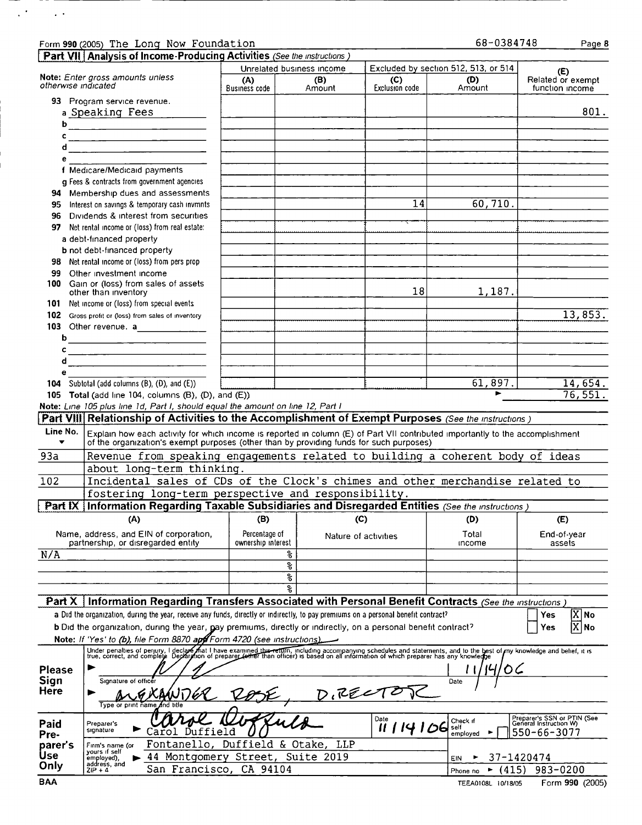|               | Form 990 (2005) The Long Now Foundation                                                                                                                                                                                          |                    |                           |                      | 68-0384748                           | Page 8                                                |
|---------------|----------------------------------------------------------------------------------------------------------------------------------------------------------------------------------------------------------------------------------|--------------------|---------------------------|----------------------|--------------------------------------|-------------------------------------------------------|
|               | Part VII Analysis of Income-Producing Activities (See the instructions)                                                                                                                                                          |                    |                           |                      |                                      |                                                       |
|               |                                                                                                                                                                                                                                  |                    | Unrelated business income |                      | Excluded by section 512, 513, or 514 | (E)                                                   |
|               | Note: Enter gross amounts unless<br>otherwise indicated                                                                                                                                                                          | (A)                | (B)                       | (C)                  | (D)                                  | Related or exempt                                     |
|               |                                                                                                                                                                                                                                  | Business code      | Amount                    | Exclusion code       | Amount                               | function income                                       |
|               | 93 Program service revenue.                                                                                                                                                                                                      |                    |                           |                      |                                      |                                                       |
|               | a Speaking Fees                                                                                                                                                                                                                  |                    |                           |                      |                                      | 801.                                                  |
|               |                                                                                                                                                                                                                                  |                    |                           |                      |                                      |                                                       |
| c             |                                                                                                                                                                                                                                  |                    |                           |                      |                                      |                                                       |
| d             |                                                                                                                                                                                                                                  |                    |                           |                      |                                      |                                                       |
|               | <u> 1980 - Jan Barnett, fransk politiker (d. 1980)</u>                                                                                                                                                                           |                    |                           |                      |                                      |                                                       |
| е             |                                                                                                                                                                                                                                  |                    |                           |                      |                                      |                                                       |
|               | f Medicare/Medicald payments                                                                                                                                                                                                     |                    |                           |                      |                                      |                                                       |
|               | g Fees & contracts from government agencies                                                                                                                                                                                      |                    |                           |                      |                                      |                                                       |
|               | 94 Membership dues and assessments                                                                                                                                                                                               |                    |                           |                      |                                      |                                                       |
| 95            | Interest on savings & temporary cash invmnts                                                                                                                                                                                     |                    |                           | 14                   | 60,710.                              |                                                       |
| 96            | Dividends & interest from securities                                                                                                                                                                                             |                    |                           |                      |                                      |                                                       |
| 97            | Net rental income or (loss) from real estate:                                                                                                                                                                                    |                    |                           |                      |                                      |                                                       |
|               | a debt-financed property                                                                                                                                                                                                         |                    |                           |                      |                                      |                                                       |
|               | <b>b</b> not debt-financed property                                                                                                                                                                                              |                    |                           |                      |                                      |                                                       |
|               | 98 Net rental income or (loss) from pers prop                                                                                                                                                                                    |                    |                           |                      |                                      |                                                       |
| 99            | Other investment income                                                                                                                                                                                                          |                    |                           |                      |                                      |                                                       |
|               | 100 Gain or (loss) from sales of assets                                                                                                                                                                                          |                    |                           |                      |                                      |                                                       |
|               | other than inventory                                                                                                                                                                                                             |                    |                           | 18                   | 1,187.                               |                                                       |
| 101.          | Net income or (loss) from special events                                                                                                                                                                                         |                    |                           |                      |                                      |                                                       |
|               | 102 Gross profit or (loss) from sales of inventory                                                                                                                                                                               |                    |                           |                      |                                      | 13,853.                                               |
|               | 103 Other revenue. a_______________                                                                                                                                                                                              |                    |                           |                      |                                      |                                                       |
|               |                                                                                                                                                                                                                                  |                    |                           |                      |                                      |                                                       |
| ь             |                                                                                                                                                                                                                                  |                    |                           |                      |                                      |                                                       |
| c             |                                                                                                                                                                                                                                  |                    |                           |                      |                                      |                                                       |
| d             |                                                                                                                                                                                                                                  |                    |                           |                      |                                      |                                                       |
| е             |                                                                                                                                                                                                                                  |                    |                           |                      |                                      |                                                       |
| 104           | Subtotal (add columns (B), (D), and (E))                                                                                                                                                                                         |                    |                           |                      | 61,897.                              | 14,654.                                               |
|               | 105 Total (add line 104, columns $(B)$ , $(D)$ , and $(E)$ )                                                                                                                                                                     |                    |                           |                      | ь                                    | 76,551.                                               |
|               | Note: Line 105 plus line 1d, Part I, should equal the amount on line 12, Part I                                                                                                                                                  |                    |                           |                      |                                      |                                                       |
|               | Part VIII Relationship of Activities to the Accomplishment of Exempt Purposes (See the instructions)                                                                                                                             |                    |                           |                      |                                      |                                                       |
|               |                                                                                                                                                                                                                                  |                    |                           |                      |                                      |                                                       |
|               |                                                                                                                                                                                                                                  |                    |                           |                      |                                      |                                                       |
| Line No.      | Explain how each activity for which income is reported in column (E) of Part VII contributed importantly to the accomplishment                                                                                                   |                    |                           |                      |                                      |                                                       |
| ▼             | of the organization's exempt purposes (other than by providing funds for such purposes)                                                                                                                                          |                    |                           |                      |                                      |                                                       |
| 93a           | Revenue from speaking engagements related to building a coherent body of ideas                                                                                                                                                   |                    |                           |                      |                                      |                                                       |
|               | about long-term thinking.                                                                                                                                                                                                        |                    |                           |                      |                                      |                                                       |
| 102           | Incidental sales of CDs of the Clock's chimes and other merchandise related to                                                                                                                                                   |                    |                           |                      |                                      |                                                       |
|               |                                                                                                                                                                                                                                  |                    |                           |                      |                                      |                                                       |
|               | fostering long-term perspective and responsibility.                                                                                                                                                                              |                    |                           |                      |                                      |                                                       |
|               | Part IX   Information Regarding Taxable Subsidiaries and Disregarded Entities (See the instructions)                                                                                                                             |                    |                           |                      |                                      |                                                       |
|               | (A)                                                                                                                                                                                                                              | (B)                |                           | (C)                  | (D)                                  | (E)                                                   |
|               | Name, address, and EIN of corporation,                                                                                                                                                                                           | Percentage of      |                           |                      | Total                                | End-of-year                                           |
|               | partnership, or disregarded entity                                                                                                                                                                                               | ownership interest |                           | Nature of activities | income                               | assets                                                |
| N/A           |                                                                                                                                                                                                                                  |                    | ిక                        |                      |                                      |                                                       |
|               |                                                                                                                                                                                                                                  |                    | ङ्क                       |                      |                                      |                                                       |
|               |                                                                                                                                                                                                                                  |                    | န္                        |                      |                                      |                                                       |
|               |                                                                                                                                                                                                                                  |                    |                           |                      |                                      |                                                       |
|               |                                                                                                                                                                                                                                  |                    | કૃ                        |                      |                                      |                                                       |
|               | <b>Part X</b>   Information Regarding Transfers Associated with Personal Benefit Contracts (See the instructions)                                                                                                                |                    |                           |                      |                                      |                                                       |
|               | a Did the organization, during the year, receive any funds, directly or indirectly, to pay premiums on a personal benefit contract?                                                                                              |                    |                           |                      |                                      | $ \overline{\mathrm{X}} $ No<br>Yes                   |
|               | b Did the organization, during the year, pay premiums, directly or indirectly, on a personal benefit contract?                                                                                                                   |                    |                           |                      |                                      | $ {\boldsymbol{\mathrm{X}}} $ No<br>Yes               |
|               | Note: If 'Yes' to (b), file Form 8870 april Form 4720 (see instructions).                                                                                                                                                        |                    |                           |                      |                                      |                                                       |
|               |                                                                                                                                                                                                                                  |                    |                           |                      |                                      |                                                       |
|               | Under penalties of perjury, I declare that I have examined the return, including accompanying schedules and statements, and to the best of my knowledge and belief, it is<br>true, correct, and complete Deckirgtion of preparer |                    |                           |                      |                                      |                                                       |
| <b>Please</b> | ▶                                                                                                                                                                                                                                |                    |                           |                      |                                      |                                                       |
| Sign          | Signature of officer                                                                                                                                                                                                             |                    |                           |                      | Date                                 |                                                       |
| Here          | ▶                                                                                                                                                                                                                                |                    |                           |                      |                                      |                                                       |
|               | Type or print name                                                                                                                                                                                                               |                    | <u>D.RECT</u>             |                      |                                      |                                                       |
|               |                                                                                                                                                                                                                                  |                    |                           |                      |                                      |                                                       |
| Paid          | Preparer's                                                                                                                                                                                                                       |                    |                           | Date                 | Check if<br>self                     | Preparer's SSN or PTIN (See<br>General Instruction W) |
| Pre-          | signature<br>Duffield<br>arol                                                                                                                                                                                                    |                    |                           | 11 1 14 1 106        | employed                             | 550-66-3077                                           |
| parer's       | Fontanello,<br>Firm's name (or                                                                                                                                                                                                   | Duffield & Otake,  | LLP                       |                      |                                      |                                                       |
| Use           | yours if self<br>44 Montgomery Street,<br>employed),                                                                                                                                                                             |                    | Suite 2019                |                      | EIN                                  | 37-1420474                                            |
| Only          | address, and<br>San Francisco,<br>$ZIP + 4$                                                                                                                                                                                      | CA 94104           |                           |                      | (415)<br>Phone no                    | 983-0200                                              |

| ۰. | ٦ |  |
|----|---|--|
|    |   |  |

 $\mathcal{L}(\mathcal{F})$  and  $\mathcal{L}(\mathcal{F})$ 

TEEA0108L 10/18/05 Form 990 (2005)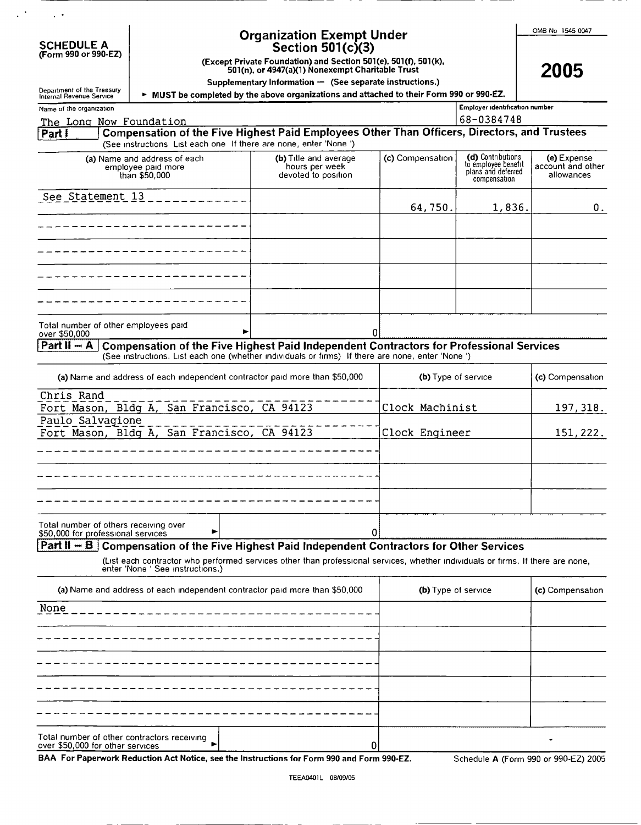|  | OMB No 1545 0047 |  |
|--|------------------|--|
|  |                  |  |

2005

| <b>SCHEDULE A</b> |  |                      |
|-------------------|--|----------------------|
|                   |  | (Form 990 or 990-EZ) |

 $\sim$   $\sim$ 

 $\mathbb{R}^3$ 

# Organization Exempt Under

(Form <sup>990</sup> or 990-EZ) Section 501(c)(3) (Except Private Foundation) and Section 501 (e), 501 (f), 501(k), 501(n), or 4947(a)(1) Nonexempt Charitable Trust

Supplementary Information - (See separate instructions.)

 $\Sigma_{\rm EFT}$   $\sim$  MUST be completed by the above organizations and attached to their Form 990 or 990-EZ.

| Name of the organization                                                                                                                                                                                     |                                                                |                     | Employer identification number                                                 |                                                |
|--------------------------------------------------------------------------------------------------------------------------------------------------------------------------------------------------------------|----------------------------------------------------------------|---------------------|--------------------------------------------------------------------------------|------------------------------------------------|
| The Long Now Foundation                                                                                                                                                                                      |                                                                |                     | 68-0384748                                                                     |                                                |
| Compensation of the Five Highest Paid Employees Other Than Officers, Directors, and Trustees<br>Part !<br>(See instructions List each one If there are none, enter 'None')                                   |                                                                |                     |                                                                                |                                                |
| (a) Name and address of each<br>employee paid more<br>than \$50,000                                                                                                                                          | (b) Title and average<br>hours per week<br>devoted to position | (c) Compensation    | (d) Contributions<br>to employee benefit<br>plans and deferred<br>compensation | (e) Expense<br>account and other<br>allowances |
| See Statement 13                                                                                                                                                                                             |                                                                | 64,750.             | 1,836.                                                                         | О.                                             |
|                                                                                                                                                                                                              |                                                                |                     |                                                                                |                                                |
|                                                                                                                                                                                                              |                                                                |                     |                                                                                |                                                |
|                                                                                                                                                                                                              |                                                                |                     |                                                                                |                                                |
|                                                                                                                                                                                                              |                                                                |                     |                                                                                |                                                |
| Total number of other employees paid<br>over \$50,000                                                                                                                                                        |                                                                | 0                   |                                                                                |                                                |
| $Part II - A$<br>Compensation of the Five Highest Paid Independent Contractors for Professional Services<br>(See instructions. List each one (whether individuals or firms) If there are none, enter 'None') |                                                                |                     |                                                                                |                                                |
| (a) Name and address of each independent contractor paid more than \$50,000                                                                                                                                  |                                                                | (b) Type of service |                                                                                | (c) Compensation                               |
| Chris Rand<br>Fort Mason, Bldg A, San Francisco, CA 94123                                                                                                                                                    |                                                                | Clock Machinist     |                                                                                | 197,318.                                       |
| Paulo Salvagione<br>Fort Mason, Bldg A, San Francisco, CA 94123                                                                                                                                              |                                                                | Clock Engineer      |                                                                                | 151,222.                                       |
|                                                                                                                                                                                                              |                                                                |                     |                                                                                |                                                |
|                                                                                                                                                                                                              |                                                                |                     |                                                                                |                                                |
|                                                                                                                                                                                                              |                                                                |                     |                                                                                |                                                |
| Total number of others receiving over<br>\$50,000 for professional services                                                                                                                                  |                                                                | 0                   |                                                                                |                                                |
| <b>Part II - B</b> Compensation of the Five Highest Paid Independent Contractors for Other Services                                                                                                          |                                                                |                     |                                                                                |                                                |
| (List each contractor who performed services other than professional services, whether individuals or firms. If there are none,<br>enter ivone See instructions.)                                            |                                                                |                     |                                                                                |                                                |
| (a) Name and address of each independent contractor paid more than \$50,000                                                                                                                                  |                                                                | (b) Type of service |                                                                                | (c) Compensation                               |
| None                                                                                                                                                                                                         |                                                                |                     |                                                                                |                                                |
|                                                                                                                                                                                                              |                                                                |                     |                                                                                |                                                |
|                                                                                                                                                                                                              |                                                                |                     |                                                                                |                                                |
|                                                                                                                                                                                                              |                                                                |                     |                                                                                |                                                |
|                                                                                                                                                                                                              |                                                                |                     |                                                                                |                                                |
| Total number of other contractors receiving<br>over \$50,000 for other services                                                                                                                              | 0                                                              |                     |                                                                                |                                                |
| BAA For Paperwork Reduction Act Notice, see the Instructions for Form 990 and Form 990-EZ.                                                                                                                   |                                                                |                     |                                                                                | Schedule A (Form 990 or 990-EZ) 2005           |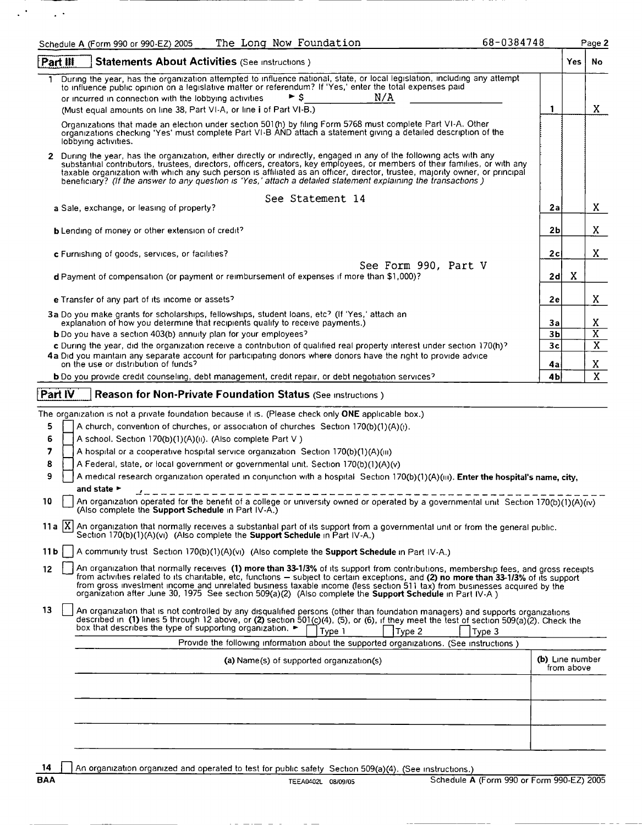|                   | The Long Now Foundation<br>Schedule A (Form 990 or 990-EZ) 2005                                                                                                                                                                                                                                                                                                                                                                                                                                                        | 68-0384748 |                 |            | Page 2                  |
|-------------------|------------------------------------------------------------------------------------------------------------------------------------------------------------------------------------------------------------------------------------------------------------------------------------------------------------------------------------------------------------------------------------------------------------------------------------------------------------------------------------------------------------------------|------------|-----------------|------------|-------------------------|
| Part III          | Statements About Activities (See Instructions)                                                                                                                                                                                                                                                                                                                                                                                                                                                                         |            |                 | <b>Yes</b> | No                      |
|                   | During the year, has the organization attempted to influence national, state, or local legislation, including any attempt<br>to influence public opinion on a legislative matter or referendum? If 'Yes,' enter the total expenses paid<br>► s<br>N/A<br>or incurred in connection with the lobbying activities<br>(Must equal amounts on line 38, Part VI-A, or line i of Part VI-B.)                                                                                                                                 |            | 1               |            | X.                      |
|                   | Organizations that made an election under section 501(h) by filing Form 5768 must complete Part VI-A. Other<br>organizations checking 'Yes' must complete Part VI-B AND attach a statement giving a detailed description of the<br>lobbying activities.                                                                                                                                                                                                                                                                |            |                 |            |                         |
|                   | 2 During the year, has the organization, either directly or indirectly, engaged in any of the following acts with any<br>substantial contributors, trustees, directors, officers, creators, key employees, or members of their families, or with any<br>taxable organization with which any such person is affiliated as an officer, director, trustee, majority owner, or principal<br>beneficiary? (If the answer to any question is 'Yes,' attach a detailed statement explaining the transactions)                 |            |                 |            |                         |
|                   | See Statement 14<br>a Sale, exchange, or leasing of property?                                                                                                                                                                                                                                                                                                                                                                                                                                                          |            | 2a              |            | X.                      |
|                   | <b>b</b> Lending of money or other extension of credit?                                                                                                                                                                                                                                                                                                                                                                                                                                                                |            | 2 <sub>b</sub>  |            | X.                      |
|                   | c Furnishing of goods, services, or facilities?                                                                                                                                                                                                                                                                                                                                                                                                                                                                        |            | 2c              |            | X.                      |
|                   | See Form 990, Part V<br>d Payment of compensation (or payment or reimbursement of expenses if more than \$1,000)?                                                                                                                                                                                                                                                                                                                                                                                                      |            | 2d              | X          |                         |
|                   | e Transfer of any part of its income or assets?                                                                                                                                                                                                                                                                                                                                                                                                                                                                        |            | 2e              |            | X.                      |
|                   | 3a Do you make grants for scholarships, fellowships, student loans, etc? (If 'Yes,' attach an<br>explanation of how you determine that recipients qualify to receive payments.)                                                                                                                                                                                                                                                                                                                                        |            | За              |            | X                       |
|                   | b Do you have a section 403(b) annuity plan for your employees?                                                                                                                                                                                                                                                                                                                                                                                                                                                        |            | 3 <sub>b</sub>  |            | $\overline{\mathbf{x}}$ |
|                   | c During the year, did the organization receive a contribution of qualified real property interest under section 170(h)?<br>4a Did you maintain any separate account for participating donors where donors have the right to provide advice                                                                                                                                                                                                                                                                            |            | 3 <sub>c</sub>  |            | $\overline{\mathbf{X}}$ |
|                   | on the use or distribution of funds?<br><b>b</b> Do you provide credit counseling, debt management, credit repair, or debt negotiation services?                                                                                                                                                                                                                                                                                                                                                                       |            | 4a<br>4b        |            | X.<br>$\overline{X}$    |
|                   |                                                                                                                                                                                                                                                                                                                                                                                                                                                                                                                        |            |                 |            |                         |
| Part IV           | Reason for Non-Private Foundation Status (See Instructions)                                                                                                                                                                                                                                                                                                                                                                                                                                                            |            |                 |            |                         |
|                   | The organization is not a private foundation because it is. (Please check only ONE applicable box.)                                                                                                                                                                                                                                                                                                                                                                                                                    |            |                 |            |                         |
| 5                 | A church, convention of churches, or association of churches Section 170(b)(1)(A)(i).                                                                                                                                                                                                                                                                                                                                                                                                                                  |            |                 |            |                         |
| 6                 | A school. Section 170(b)(1)(A)(ii). (Also complete Part V)                                                                                                                                                                                                                                                                                                                                                                                                                                                             |            |                 |            |                         |
| 7                 | A hospital or a cooperative hospital service organization Section 170(b)(1)(A)(iii)                                                                                                                                                                                                                                                                                                                                                                                                                                    |            |                 |            |                         |
| 8                 | A Federal, state, or local government or governmental unit. Section 170(b)(1)(A)(v)                                                                                                                                                                                                                                                                                                                                                                                                                                    |            |                 |            |                         |
| 9                 | A medical research organization operated in conjunction with a hospital Section 170(b)(1)(A)(iii). Enter the hospital's name, city,<br>and state ►                                                                                                                                                                                                                                                                                                                                                                     |            |                 |            |                         |
| 10                | An organization operated for the benefit of a college or university owned or operated by a governmental unit Section 170(b)(1)(A)(iv)<br>(Also complete the Support Schedule in Part IV-A.)                                                                                                                                                                                                                                                                                                                            |            |                 |            |                         |
|                   | 11a  X  An organization that normally receives a substantial part of its support from a governmental unit or from the general public.<br>Section 170(b)(1)(A)(vi) (Also complete the <b>Support Schedule</b> in Part IV-A.)                                                                                                                                                                                                                                                                                            |            |                 |            |                         |
| 11 b              | A community trust Section 170(b)(1)(A)(vi) (Also complete the <b>Support Schedule</b> in Part IV-A.)                                                                                                                                                                                                                                                                                                                                                                                                                   |            |                 |            |                         |
| $12 \overline{ }$ | An organization that normally receives (1) more than 33-1/3% of its support from contributions, membership fees, and gross receipts<br>from activities related to its charitable, etc, functions - subject to certain exceptions, and (2) no more than 33-1/3% of its support<br>from gross investment income and unrelated business taxable income (less section 511 tax) from businesses acquired by the<br>organization after June 30, 1975 See section 509(a)(2) (Also complete the Support Schedule in Part IV-A) |            |                 |            |                         |
| 13                | An organization that is not controlled by any disqualified persons (other than foundation managers) and supports organizations<br>described in (1) lines 5 through 12 above, or (2) section 501(c)(4), (5), or (6), if they meet the test of section 509(a)(2). Check the<br>box that describes the type of supporting organization.<br>Type 1<br>Type 2                                                                                                                                                               | Type 3     |                 |            |                         |
|                   | Provide the following information about the supported organizations. (See instructions)                                                                                                                                                                                                                                                                                                                                                                                                                                |            |                 |            |                         |
|                   | (a) Name(s) of supported organization(s)                                                                                                                                                                                                                                                                                                                                                                                                                                                                               |            | (b) Line number | from above |                         |
|                   |                                                                                                                                                                                                                                                                                                                                                                                                                                                                                                                        |            |                 |            |                         |
|                   |                                                                                                                                                                                                                                                                                                                                                                                                                                                                                                                        |            |                 |            |                         |
|                   |                                                                                                                                                                                                                                                                                                                                                                                                                                                                                                                        |            |                 |            |                         |
|                   |                                                                                                                                                                                                                                                                                                                                                                                                                                                                                                                        |            |                 |            |                         |

14 | An organization organized and operated to test for public safety Section 509(a)(4). (See instructions.)<br>BAA TEEA0402L 08/09/05 Chedule A

 $\mathcal{L}^{(2)}$  and  $\mathcal{L}^{(2)}$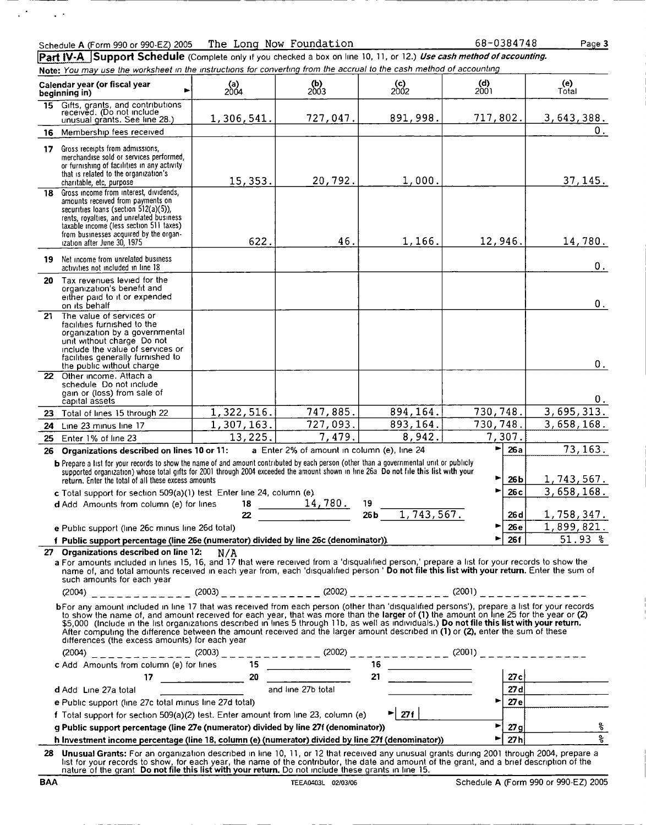$\bar{z}$  .

 $\ddot{\phantom{a}}$ 

68-0384748 Page <sup>3</sup>

Part IV-A Support Schedule (Complete only if you checked a box on line 10, 11, or 12.) Use cash method of accounting. Note: You may use the worksheet in the instructions for converting from the accrual to the cash method of accounting

|    | Calendar year (or fiscal year<br>beginning in)                                                                                                                                                                                                                                                                                                                                                                                                                                                                                                                                                                                                                                                                                                                                           | (a)<br>2004 | $\begin{array}{c} \textbf{(b)} \\ \textbf{2003} \end{array}$ | $($ c)<br>2002                  | (d)<br>2001           | (e)<br>Total                        |  |  |
|----|------------------------------------------------------------------------------------------------------------------------------------------------------------------------------------------------------------------------------------------------------------------------------------------------------------------------------------------------------------------------------------------------------------------------------------------------------------------------------------------------------------------------------------------------------------------------------------------------------------------------------------------------------------------------------------------------------------------------------------------------------------------------------------------|-------------|--------------------------------------------------------------|---------------------------------|-----------------------|-------------------------------------|--|--|
|    | 15 Gifts, grants, and contributions<br>received. (Do not include<br>unusual grants. See line 28.)                                                                                                                                                                                                                                                                                                                                                                                                                                                                                                                                                                                                                                                                                        | 1,306,541.  | 727,047.                                                     | 891,998.                        | 717,802.              | 3,643,388.                          |  |  |
|    | 16 Membership fees received                                                                                                                                                                                                                                                                                                                                                                                                                                                                                                                                                                                                                                                                                                                                                              |             |                                                              |                                 |                       | $0_{.}$                             |  |  |
|    | 17 Gross receipts from admissions,<br>merchandise sold or services performed,<br>or furnishing of facilities in any activity<br>that is related to the organization's                                                                                                                                                                                                                                                                                                                                                                                                                                                                                                                                                                                                                    | 15, 353.    | 20,792.                                                      | 1,000.                          |                       | 37, 145.                            |  |  |
|    | charitable, etc, purpose<br>18 Gross income from interest, dividends,                                                                                                                                                                                                                                                                                                                                                                                                                                                                                                                                                                                                                                                                                                                    |             |                                                              |                                 |                       |                                     |  |  |
|    | amounts received from payments on<br>securities loans (section $512(a)(5)$ ),<br>rents, royalties, and unrelated business<br>taxable income (less section 511 taxes)<br>from businesses acquired by the organ-<br>ization after June 30, 1975                                                                                                                                                                                                                                                                                                                                                                                                                                                                                                                                            | 622.        | 46.                                                          | 1,166.                          | 12,946.               | 14,780.                             |  |  |
| 19 | Net income from unrelated business<br>activities not included in line 18                                                                                                                                                                                                                                                                                                                                                                                                                                                                                                                                                                                                                                                                                                                 |             |                                                              |                                 |                       | $0_{.}$                             |  |  |
|    | 20 Tax revenues levied for the<br>organization's benefit and<br>either paid to it or expended<br>on its behalf                                                                                                                                                                                                                                                                                                                                                                                                                                                                                                                                                                                                                                                                           |             |                                                              |                                 |                       | 0.                                  |  |  |
| 21 | The value of services or<br>facilities furnished to the<br>organization by a governmental<br>unit without charge Do not<br>include the value of services or<br>facilities generally furnished to<br>the public without charge                                                                                                                                                                                                                                                                                                                                                                                                                                                                                                                                                            |             |                                                              |                                 |                       | 0.                                  |  |  |
|    | 22 Other income, Attach a<br>schedule Do not include<br>gain or (loss) from sale of<br>capital assets                                                                                                                                                                                                                                                                                                                                                                                                                                                                                                                                                                                                                                                                                    |             |                                                              |                                 |                       | 0.                                  |  |  |
|    | 23 Total of lines 15 through 22                                                                                                                                                                                                                                                                                                                                                                                                                                                                                                                                                                                                                                                                                                                                                          | 1,322,516.  | 747,885.                                                     | 894, 164.                       | 730,748.              | 3,695,313.                          |  |  |
| 24 | Line 23 minus line 17                                                                                                                                                                                                                                                                                                                                                                                                                                                                                                                                                                                                                                                                                                                                                                    | 1,307,163.  | 727,093.                                                     | 893, 164.                       | 730,748.              | 3,658,168.                          |  |  |
| 25 | Enter 1% of line 23                                                                                                                                                                                                                                                                                                                                                                                                                                                                                                                                                                                                                                                                                                                                                                      | 13,225.     | 7,479.                                                       | 8,942.                          | 7,307.                |                                     |  |  |
| 26 | Organizations described on lines 10 or 11:                                                                                                                                                                                                                                                                                                                                                                                                                                                                                                                                                                                                                                                                                                                                               |             | a Enter 2% of amount in column (e), line 24                  |                                 | 26a<br>►              | 73, 163.                            |  |  |
|    | b Prepare a list for your records to show the name of and amount contributed by each person (other than a governmental unit or publicly<br>supported organization) whose total gifts for 2001 through 2004 exceeded the amount shown in line 26a Do not file this list with your<br>return. Enter the total of all these excess amounts<br>c Total support for section 509(a)(1) test Enter line 24, column (e)                                                                                                                                                                                                                                                                                                                                                                          |             |                                                              |                                 | ▶<br>26 b<br>26c<br>▶ | 1,743,567.<br>3,658,168.            |  |  |
|    | d Add Amounts from column (e) for lines                                                                                                                                                                                                                                                                                                                                                                                                                                                                                                                                                                                                                                                                                                                                                  | 18          | $\frac{14,780}{.}$                                           | 19                              |                       |                                     |  |  |
|    |                                                                                                                                                                                                                                                                                                                                                                                                                                                                                                                                                                                                                                                                                                                                                                                          | 22          |                                                              | 1, 743, 567.<br>26 <sub>b</sub> | 26 d                  | 1,758,347.                          |  |  |
|    | e Public support (line 26c minus line 26d total)                                                                                                                                                                                                                                                                                                                                                                                                                                                                                                                                                                                                                                                                                                                                         |             |                                                              |                                 | ▶<br>26 e             | 1,899,821.                          |  |  |
|    | f Public support percentage (line 26e (numerator) divided by line 26c (denominator)).                                                                                                                                                                                                                                                                                                                                                                                                                                                                                                                                                                                                                                                                                                    |             |                                                              |                                 | 26f<br>▶              | $51.93$ %                           |  |  |
|    | 27 Organizations described on line 12: $N/A$<br>a For amounts included in lines 15, 16, and 17 that were received from a 'disqualified person,' prepare a list for your records to show the<br>name of, and total amounts received in each year from, each 'disqualified person ' Do not file this list with your return. Enter the sum of<br>such amounts for each year<br>$(2004)$ _ _ _ _ _ _ _ _ _ _ (2003) _ _ _ _ _ _ _ _ _ _ (2002) _ _ _ _ _ _ _ _ _ _ _ (2001) _ _ _ _ _ _ _ _ _ _ _ _<br>bFor any amount included in line 17 that was received from each person (other than 'disqualified persons'), prepare a list for your records<br>to show the name of, and amount received for each year, that was more than the larger of (1) the amount on line 25 for the year or (2) |             |                                                              |                                 |                       |                                     |  |  |
|    | \$5,000 (Include in the list organizations described in lines 5 through 11b, as well as individuals.) Do not file this list with your return.<br>After computing the difference between the amount received and the larger amount described in (1) or (2), enter the sum of these<br>differences (the excess amounts) for each year                                                                                                                                                                                                                                                                                                                                                                                                                                                      |             |                                                              |                                 |                       |                                     |  |  |
|    |                                                                                                                                                                                                                                                                                                                                                                                                                                                                                                                                                                                                                                                                                                                                                                                          |             |                                                              |                                 |                       |                                     |  |  |
|    |                                                                                                                                                                                                                                                                                                                                                                                                                                                                                                                                                                                                                                                                                                                                                                                          |             |                                                              |                                 |                       |                                     |  |  |
|    |                                                                                                                                                                                                                                                                                                                                                                                                                                                                                                                                                                                                                                                                                                                                                                                          |             |                                                              |                                 |                       |                                     |  |  |
|    |                                                                                                                                                                                                                                                                                                                                                                                                                                                                                                                                                                                                                                                                                                                                                                                          |             |                                                              |                                 |                       |                                     |  |  |
|    | e Public support (line 27c total minus line 27d total)                                                                                                                                                                                                                                                                                                                                                                                                                                                                                                                                                                                                                                                                                                                                   |             |                                                              |                                 | ►∣                    | $\frac{27c}{27e}$                   |  |  |
|    | f Total support for section 509(a)(2) test. Enter amount from line 23, column (e)                                                                                                                                                                                                                                                                                                                                                                                                                                                                                                                                                                                                                                                                                                        |             |                                                              | $\blacktriangleright$ 27f       |                       | $\frac{1}{27g}$                     |  |  |
|    | g Public support percentage (line 27e (numerator) divided by line 27f (denominator))                                                                                                                                                                                                                                                                                                                                                                                                                                                                                                                                                                                                                                                                                                     |             |                                                              |                                 | ►∣                    | <u>ಿ</u><br>$\overline{\mathbf{r}}$ |  |  |
|    | h Investment income percentage (line 18, column (e) (numerator) divided by line 27f (denominator))                                                                                                                                                                                                                                                                                                                                                                                                                                                                                                                                                                                                                                                                                       |             |                                                              |                                 | 27h<br>►              |                                     |  |  |
| 28 | Unusual Grants: For an organization described in line 10, 11, or 12 that received any unusual grants during 2001 through 2004, prepare a<br>list for your records to show, for each year, the name of the contributor, the date and amount of the grant, and a brief description of the<br>nature of the grant Do not file this list with your return. Do not include these grants in line 15.                                                                                                                                                                                                                                                                                                                                                                                           |             |                                                              |                                 |                       |                                     |  |  |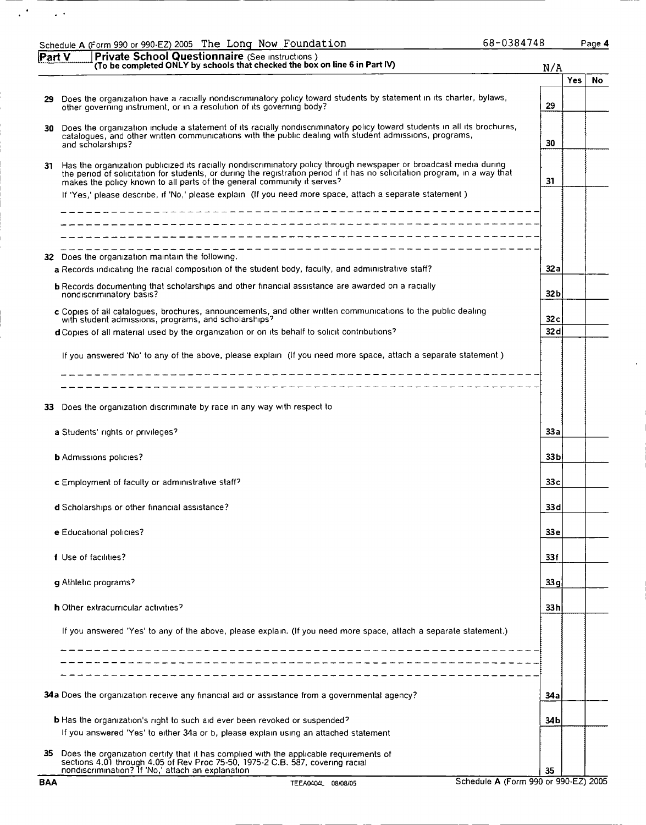|        | Schedule A (Form 990 or 990-EZ) 2005 The Long Now Foundation                                                                                                                                                                                                                                                                                                                                                                            | 68-0384748      |     | Page 4 |
|--------|-----------------------------------------------------------------------------------------------------------------------------------------------------------------------------------------------------------------------------------------------------------------------------------------------------------------------------------------------------------------------------------------------------------------------------------------|-----------------|-----|--------|
| Part V | Private School Questionnaire (See Instructions)<br>(To be completed ONLY by schools that checked the box on line 6 in Part IV)                                                                                                                                                                                                                                                                                                          | N/A             |     |        |
|        |                                                                                                                                                                                                                                                                                                                                                                                                                                         |                 | Yes | No     |
| 29     | Does the organization have a racially nondiscriminatory policy toward students by statement in its charter, bylaws,<br>other governing instrument, or in a resolution of its governing body?                                                                                                                                                                                                                                            | 29              |     |        |
| 30     | Does the organization include a statement of its racially nondiscriminatory policy toward students in all its brochures, catalogues, and other written communications with the public dealing with student admissions, program<br>and scholarships?                                                                                                                                                                                     | 30              |     |        |
| 31.    | Has the organization publicized its racially nondiscriminatory policy through newspaper or broadcast media during<br>the period of solicitation for students, or during the registration period if it has no solicitation program, in a way that<br>makes the policy known to all parts of the general community it serves?<br>If 'Yes,' please describe, if 'No,' please explain (If you need more space, attach a separate statement) | 31              |     |        |
|        |                                                                                                                                                                                                                                                                                                                                                                                                                                         |                 |     |        |
|        | 32 Does the organization maintain the following.<br>a Records indicating the racial composition of the student body, faculty, and administrative staff?                                                                                                                                                                                                                                                                                 | 32 a            |     |        |
|        | <b>b</b> Records documenting that scholarships and other financial assistance are awarded on a racially<br>nondiscriminatory basis?                                                                                                                                                                                                                                                                                                     | 32 <sub>b</sub> |     |        |
|        | c Copies of all catalogues, brochures, announcements, and other written communications to the public dealing<br>with student admissions, programs, and scholarships?                                                                                                                                                                                                                                                                    | 32c             |     |        |
|        | d Copies of all material used by the organization or on its behalf to solicit contributions?                                                                                                                                                                                                                                                                                                                                            | 32d             |     |        |
|        | If you answered 'No' to any of the above, please explain (If you need more space, attach a separate statement)<br>------------------------------                                                                                                                                                                                                                                                                                        |                 |     |        |
|        | -------------------------------------                                                                                                                                                                                                                                                                                                                                                                                                   |                 |     |        |
| 33.    | Does the organization discriminate by race in any way with respect to                                                                                                                                                                                                                                                                                                                                                                   |                 |     |        |
|        | a Students' rights or privileges?                                                                                                                                                                                                                                                                                                                                                                                                       | 33a             |     |        |
|        | <b>b</b> Admissions policies?                                                                                                                                                                                                                                                                                                                                                                                                           | 33 <sub>b</sub> |     |        |
|        | <b>c</b> Employment of faculty or administrative staff?                                                                                                                                                                                                                                                                                                                                                                                 | 33 <sub>c</sub> |     |        |
|        | d Scholarships or other financial assistance?                                                                                                                                                                                                                                                                                                                                                                                           | 33d             |     |        |
|        | e Educational policies?                                                                                                                                                                                                                                                                                                                                                                                                                 | 33 <sub>e</sub> |     |        |
|        | f Use of facilities?                                                                                                                                                                                                                                                                                                                                                                                                                    | 331             |     |        |
|        | g Athletic programs?                                                                                                                                                                                                                                                                                                                                                                                                                    | 33 a            |     |        |
|        | h Other extracurricular activities?                                                                                                                                                                                                                                                                                                                                                                                                     | 33 h            |     |        |
|        | If you answered 'Yes' to any of the above, please explain. (If you need more space, attach a separate statement.)                                                                                                                                                                                                                                                                                                                       |                 |     |        |
|        | 34a Does the organization receive any financial aid or assistance from a governmental agency?                                                                                                                                                                                                                                                                                                                                           | 34 a            |     |        |
|        |                                                                                                                                                                                                                                                                                                                                                                                                                                         |                 |     |        |
|        | <b>b</b> Has the organization's right to such aid ever been revoked or suspended?<br>If you answered 'Yes' to either 34a or b, please explain using an attached statement                                                                                                                                                                                                                                                               | 34 b            |     |        |
| 35     | Does the organization certify that it has complied with the applicable requirements of<br>sections 4.01 through 4.05 of Rev Proc 75-50, 1975-2 C.B. 587, covering racial<br>nondiscrimination? If 'No,' attach an explanation                                                                                                                                                                                                           | 35              |     |        |

 $\mathcal{L}^{(2)}$  and  $\mathcal{L}^{(2)}$ 

l,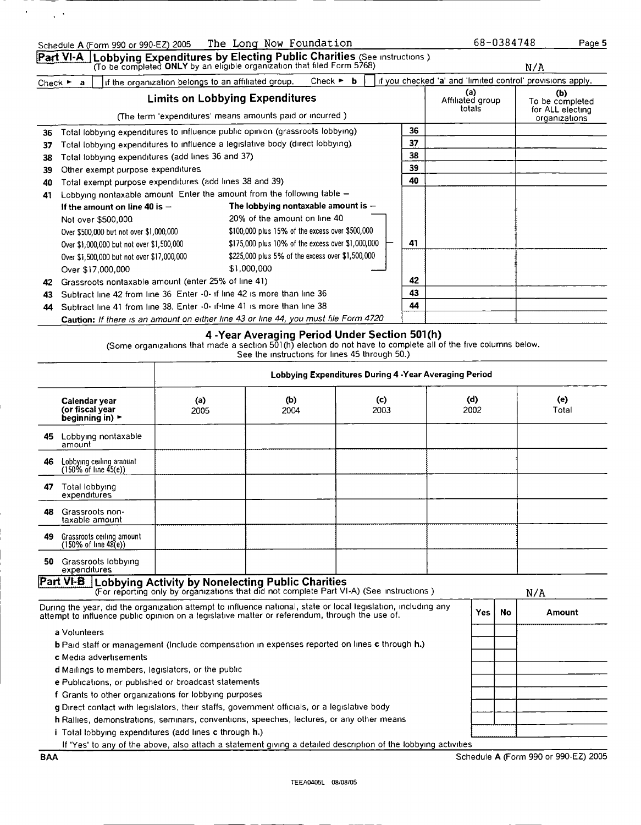## Part VI-A. Lobbying Expenditures by Electing Public Charities (See instructions )<br>(To be completed ONLY by an eligible organization that filed Form 5768)

Check <sup>&</sup>gt; <sup>a</sup> Hit the organization belongs to an affiliated group. N/A  $\overline{C}$ heck  $\blacktriangleright$  **b**  $\overline{C}$  if you checked 'a' and 'limited control' provisions apply.

|    | UNECK a l<br>The the organization betongs to an animated group.                                    | <b>UNICUM</b>                                                                        |                                   | $\mu$ , and the contract $\alpha$ and immediately provided apply. |  |
|----|----------------------------------------------------------------------------------------------------|--------------------------------------------------------------------------------------|-----------------------------------|-------------------------------------------------------------------|--|
|    | <b>Limits on Lobbying Expenditures</b><br>(The term 'expenditures' means amounts paid or incurred) |                                                                                      | (a)<br>Affiliated group<br>totals | (b)<br>To be completed<br>for ALL electing<br>organizations       |  |
| 36 |                                                                                                    | Total lobbying expenditures to influence public opinion (grassroots lobbying)        | 36                                |                                                                   |  |
| 37 |                                                                                                    | Total lobbying expenditures to influence a legislative body (direct lobbying).       | 37                                |                                                                   |  |
| 38 | Total lobbying expenditures (add lines 36 and 37)                                                  |                                                                                      | 38                                |                                                                   |  |
| 39 | Other exempt purpose expenditures.                                                                 |                                                                                      | 39                                |                                                                   |  |
| 40 | Total exempt purpose expenditures (add lines 38 and 39)                                            |                                                                                      |                                   |                                                                   |  |
| 41 | Lobbying nontaxable amount Enter the amount from the following table -                             |                                                                                      |                                   |                                                                   |  |
|    | If the amount on line 40 is $-$                                                                    | The lobbying nontaxable amount is $-$                                                |                                   |                                                                   |  |
|    | Not over \$500,000.                                                                                | 20% of the amount on line 40                                                         |                                   |                                                                   |  |
|    | Over \$500,000 but not over \$1,000,000                                                            | \$100,000 plus 15% of the excess over \$500,000                                      |                                   |                                                                   |  |
|    | Over \$1,000,000 but not over \$1,500,000                                                          | \$175,000 plus 10% of the excess over \$1,000,000                                    | 41                                |                                                                   |  |
|    | Over \$1,500,000 but not over \$17,000,000                                                         | \$225,000 plus 5% of the excess over \$1,500,000                                     |                                   |                                                                   |  |
|    | Over \$17,000,000                                                                                  | \$1,000,000                                                                          |                                   |                                                                   |  |
| 42 | Grassroots nontaxable amount (enter 25% of line 41)                                                |                                                                                      | 42                                |                                                                   |  |
| 43 | Subtract line 42 from line 36 Enter -0- if line 42 is more than line 36                            |                                                                                      | 43                                |                                                                   |  |
| 44 | Subtract line 41 from line 38. Enter -0- if line 41 is more than line 38                           |                                                                                      | 44                                |                                                                   |  |
|    |                                                                                                    | Caution: If there is an amount on either line 43 or line 44, you must file Form 4720 |                                   |                                                                   |  |

### 4 -Year Averaging Period Under Section 501 (h)

(Some organizations that made a section 501 (h) election do not have to complete all of the five columns below.

See the instructions for lines 45 through 50.)

|     |                                                                                                                                                                                                                  |                                                                                                                                                      | Lobbying Expenditures During 4 - Year Averaging Period |             |  |             |    |              |
|-----|------------------------------------------------------------------------------------------------------------------------------------------------------------------------------------------------------------------|------------------------------------------------------------------------------------------------------------------------------------------------------|--------------------------------------------------------|-------------|--|-------------|----|--------------|
|     | Calendar year<br>(or fiscal year<br>beainning in) $\blacktriangleright$                                                                                                                                          | (a)<br>2005                                                                                                                                          | (b)<br>2004                                            | (c)<br>2003 |  | (d)<br>2002 |    | (e)<br>Total |
|     | 45 Lobbying nontaxable<br>amount                                                                                                                                                                                 |                                                                                                                                                      |                                                        |             |  |             |    |              |
| 46  | Lobbying ceiling amount<br>$(150\% \text{ of line } 45(e))$                                                                                                                                                      |                                                                                                                                                      |                                                        |             |  |             |    |              |
| 47  | Total lobbying<br>expenditures                                                                                                                                                                                   |                                                                                                                                                      |                                                        |             |  |             |    |              |
| 48. | Grassroots non-<br>taxable amount                                                                                                                                                                                |                                                                                                                                                      |                                                        |             |  |             |    |              |
| 49. | Grassroots ceiling amount<br>$(150\% \text{ of line } 48(e))$                                                                                                                                                    |                                                                                                                                                      |                                                        |             |  |             |    |              |
|     | 50 Grassroots lobbying<br>expenditures                                                                                                                                                                           |                                                                                                                                                      |                                                        |             |  |             |    |              |
|     | Part VI-B                                                                                                                                                                                                        | <b>Lobbying Activity by Nonelecting Public Charities</b><br>(For reporting only by organizations that did not complete Part VI-A) (See instructions) |                                                        |             |  |             |    | N/A          |
|     | During the year, did the organization attempt to influence national, state or local legislation, including any<br>attempt to influence public opinion on a legislative matter or referendum, through the use of. |                                                                                                                                                      |                                                        |             |  | Yes         | No | Amount       |
|     | a Volunteers                                                                                                                                                                                                     |                                                                                                                                                      |                                                        |             |  |             |    |              |
|     | b Paid staff or management (Include compensation in expenses reported on lines c through h.)                                                                                                                     |                                                                                                                                                      |                                                        |             |  |             |    |              |
|     | c Media advertisements                                                                                                                                                                                           |                                                                                                                                                      |                                                        |             |  |             |    |              |
|     | d Mailings to members, legislators, or the public                                                                                                                                                                |                                                                                                                                                      |                                                        |             |  |             |    |              |
|     | e Publications, or published or broadcast statements                                                                                                                                                             |                                                                                                                                                      |                                                        |             |  |             |    |              |
|     | f Grants to other organizations for lobbying purposes                                                                                                                                                            |                                                                                                                                                      |                                                        |             |  |             |    |              |
|     | <b>g</b> Direct contact with legislators, their staffs, government officials, or a legislative body                                                                                                              |                                                                                                                                                      |                                                        |             |  |             |    |              |
|     | h Rallies, demonstrations, seminars, conventions, speeches, lectures, or any other means                                                                                                                         |                                                                                                                                                      |                                                        |             |  |             |    |              |
|     | i Total lobbying expenditures (add lines c through h.)                                                                                                                                                           |                                                                                                                                                      |                                                        |             |  |             |    |              |
|     | If 'Yes' to any of the above, also attach a statement giving a detailed description of the lobbying activities                                                                                                   |                                                                                                                                                      |                                                        |             |  |             |    |              |

 $\ddot{\phantom{1}}$ 

 $\ddot{\phantom{1}}$ 

Page 5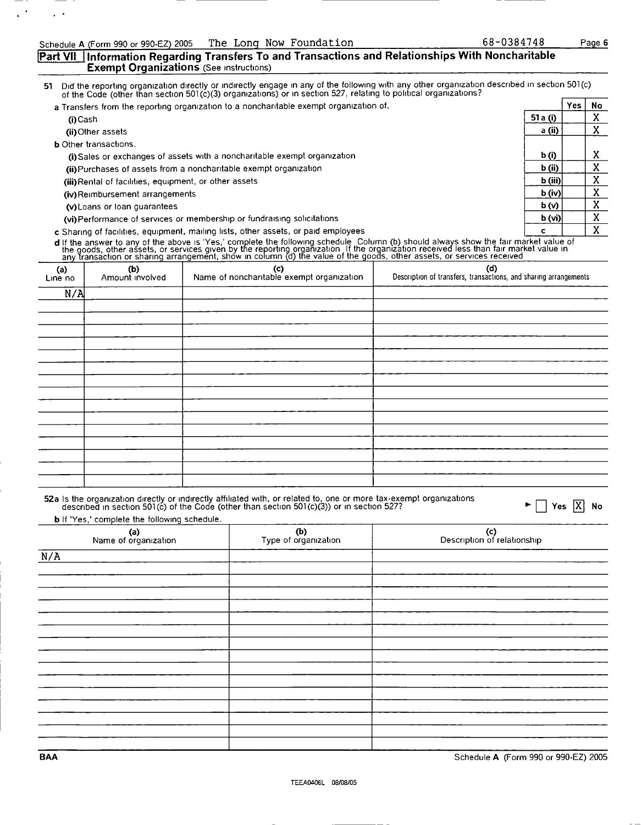÷.

### [Part VII | Information Regarding Transfers To and Transactions and Relationships With Noncharitable **Exempt Organizations** (See instructions)

of the reporting organization directly or indirectly engage in any of the following with any other organization described in section 501(c) of the Code (other than section 501(c)(3) organizations) or in section 527, relati

| a Transfers from the reporting organization to a noncharitable exempt organization of. |                   | Yes. | No       |
|----------------------------------------------------------------------------------------|-------------------|------|----------|
| (i) Cash                                                                               | 51 a (i)          |      | $\Delta$ |
| (ii) Other assets                                                                      | a (ii)            |      |          |
| <b>b</b> Other transactions.                                                           |                   |      |          |
| (i) Sales or exchanges of assets with a noncharitable exempt organization              | b(i)              |      | х        |
| (ii) Purchases of assets from a noncharitable exempt organization                      | b(i)              |      | Λ        |
| (iii) Rental of facilities, equipment, or other assets                                 | $\mathbf b$ (iii) |      |          |
| (iv) Reimbursement arrangements                                                        | $b$ (iv)          |      |          |
| (v) Loans or loan quarantees                                                           | b(v)              |      | x        |
| (vi) Performance of services or membership or fundraising solicitations                | b (vi)            |      | v        |
| c Sharing of facilities, equipment, mailing lists, other assets, or paid employees     |                   |      | v        |

**d** if the answer to any of the above is 'Yes,' complete the following schedule Column (b) should always show the fair market value of<br>the goods, other assets, or services given by the reporting organization if the organiz

| (a)<br>Line no | (b)<br>Amount involved | (c)<br>Name of noncharitable exempt organization | $(d)$<br>Description of transfers, transactions, and sharing arrangements |
|----------------|------------------------|--------------------------------------------------|---------------------------------------------------------------------------|
| N/A            |                        |                                                  |                                                                           |
|                |                        |                                                  |                                                                           |
|                |                        |                                                  |                                                                           |
|                |                        |                                                  |                                                                           |
|                |                        |                                                  |                                                                           |
|                |                        |                                                  |                                                                           |
|                |                        |                                                  |                                                                           |
|                |                        |                                                  |                                                                           |
|                |                        |                                                  |                                                                           |
|                |                        |                                                  |                                                                           |
|                |                        |                                                  |                                                                           |
|                |                        |                                                  |                                                                           |
|                |                        |                                                  |                                                                           |
|                |                        |                                                  |                                                                           |
|                |                        |                                                  |                                                                           |
|                |                        |                                                  |                                                                           |

# 52a Is the organization directly or indirectly affiliated with, or related to, one or more tax-exempt organizations<br>described in section 501(c) of the Code (other than section 501(c)(3)) or in section 527?

**b** If 'Yes,' complete the following schedule.

| (a)<br>Name of organization | (b)<br>Type of organization | (c)<br>Description of relationship |
|-----------------------------|-----------------------------|------------------------------------|
| N/A                         |                             |                                    |
|                             |                             |                                    |
|                             |                             |                                    |
|                             |                             |                                    |
|                             |                             |                                    |
|                             |                             |                                    |
|                             |                             |                                    |
|                             |                             |                                    |
|                             |                             |                                    |
|                             |                             |                                    |
|                             |                             |                                    |
|                             |                             |                                    |
|                             |                             |                                    |
|                             |                             |                                    |
|                             |                             |                                    |
|                             |                             |                                    |

BAA Schedule A (Form 990 or 990-EZ) 2005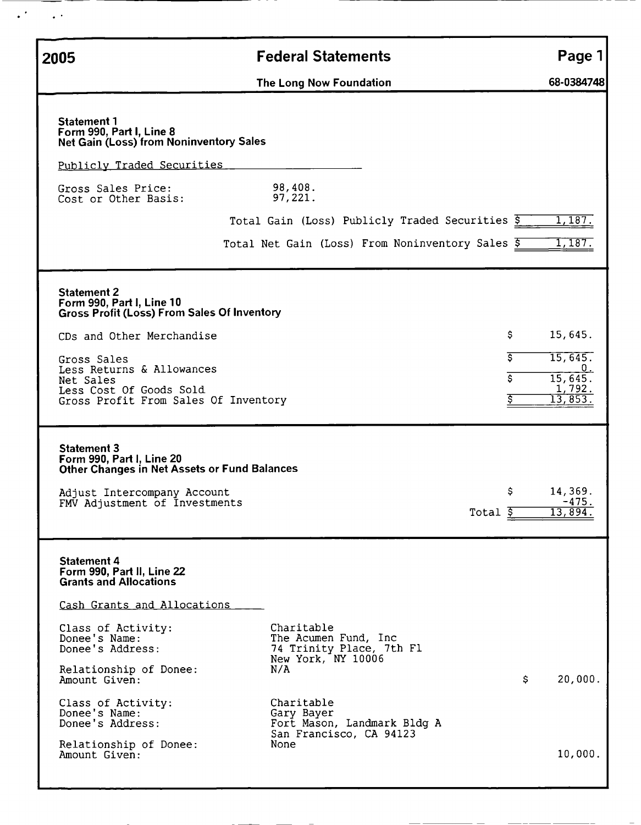| 2005                                                                                                                                                                                                                                                           | <b>Federal Statements</b>                                                                    | Page 1                                                                 |
|----------------------------------------------------------------------------------------------------------------------------------------------------------------------------------------------------------------------------------------------------------------|----------------------------------------------------------------------------------------------|------------------------------------------------------------------------|
|                                                                                                                                                                                                                                                                |                                                                                              | 68-0384748                                                             |
| <b>Statement 1</b><br>Form 990, Part I, Line 8<br><b>Net Gain (Loss) from Noninventory Sales</b><br>Publicly Traded Securities<br>Gross Sales Price:                                                                                                           | The Long Now Foundation<br>98,408.                                                           |                                                                        |
| Cost or Other Basis:                                                                                                                                                                                                                                           | 97,221.                                                                                      |                                                                        |
|                                                                                                                                                                                                                                                                | Total Gain (Loss) Publicly Traded Securities \$                                              | 1,187.                                                                 |
|                                                                                                                                                                                                                                                                | Total Net Gain (Loss) From Noninventory Sales 5                                              | 1,187.                                                                 |
| <b>Statement 2</b><br>Form 990, Part I, Line 10<br><b>Gross Profit (Loss) From Sales Of Inventory</b><br>CDs and Other Merchandise<br>Gross Sales<br>Less Returns & Allowances<br>Net Sales<br>Less Cost Of Goods Sold<br>Gross Profit From Sales Of Inventory | \$<br>Ś.<br>Ś                                                                                | 15,645.<br>15,645.<br>υ.<br>15,645.<br>1,792.<br>$\overline{13,853}$ . |
| <b>Statement 3</b><br>Form 990, Part I, Line 20<br><b>Other Changes in Net Assets or Fund Balances</b>                                                                                                                                                         |                                                                                              |                                                                        |
| Adjust Intercompany Account<br>FMV Adjustment of Investments                                                                                                                                                                                                   | \$<br>Total \$                                                                               | 14,369.<br>-475.<br>13,894.                                            |
| <b>Statement 4</b><br>Form 990, Part II, Line 22<br><b>Grants and Allocations</b><br>Cash Grants and Allocations                                                                                                                                               |                                                                                              |                                                                        |
| Class of Activity:<br>Donee's Name:<br>Donee's Address:<br>Relationship of Donee:<br>Amount Given:                                                                                                                                                             | Charitable<br>The Acumen Fund, Inc.<br>74 Trinity Place, 7th Fl<br>New York, NY 10006<br>N/A | \$.<br>20,000.                                                         |
| Class of Activity:<br>Donee's Name:<br>Donee's Address:<br>Relationship of Donee:<br>Amount Given:                                                                                                                                                             | Charitable<br>Gary Bayer<br>Fort Mason, Landmark Bldg A<br>San Francisco, CA 94123<br>None   | 10,000.                                                                |

 $\ddot{\phantom{1}}$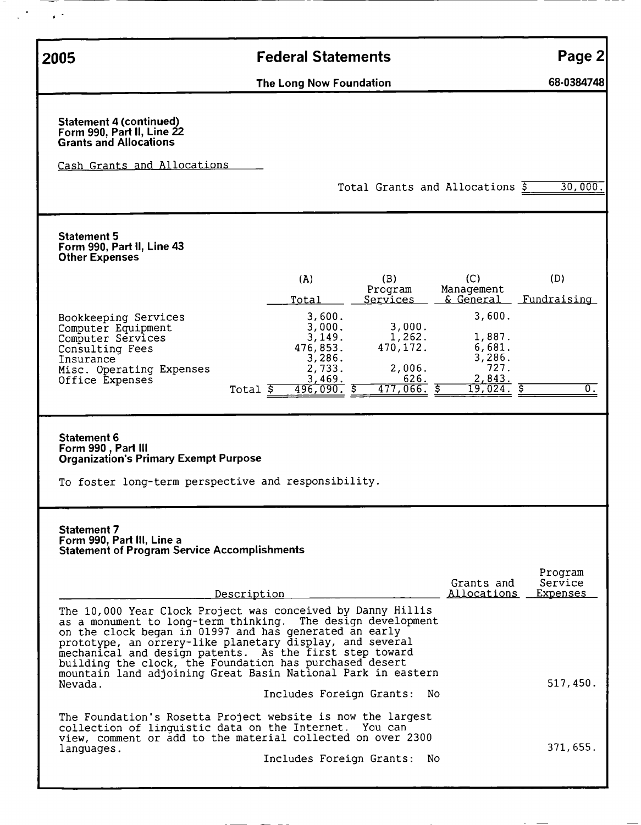| 2005                                                                                                                                                                                                                                                                                                                                                                                                                                                             | <b>Federal Statements</b>                                                                             |                                                                                                |                                                                                         | Page 2                             |
|------------------------------------------------------------------------------------------------------------------------------------------------------------------------------------------------------------------------------------------------------------------------------------------------------------------------------------------------------------------------------------------------------------------------------------------------------------------|-------------------------------------------------------------------------------------------------------|------------------------------------------------------------------------------------------------|-----------------------------------------------------------------------------------------|------------------------------------|
|                                                                                                                                                                                                                                                                                                                                                                                                                                                                  | The Long Now Foundation                                                                               |                                                                                                |                                                                                         | 68-0384748                         |
| Statement 4 (continued)<br>Form 990, Part II, Line 22<br><b>Grants and Allocations</b><br>Cash Grants and Allocations                                                                                                                                                                                                                                                                                                                                            |                                                                                                       | Total Grants and Allocations \$                                                                |                                                                                         | 30,000.                            |
| <b>Statement 5</b><br>Form 990, Part II, Line 43<br><b>Other Expenses</b>                                                                                                                                                                                                                                                                                                                                                                                        |                                                                                                       |                                                                                                |                                                                                         |                                    |
| Bookkeeping Services<br>Computer Equipment<br>Computer Services<br>Consulting Fees<br>Insurance<br>Misc. Operating Expenses<br>Office Expenses<br>Total $\overline{5}$                                                                                                                                                                                                                                                                                           | (A)<br>Total<br>3,600.<br>3,000.<br>3,149.<br>476,853.<br>3,286.<br>2,733.<br>3,469.<br>$496,090.$ \$ | (B)<br>Program<br>Services<br>3,000.<br>1,262.<br>470, 172.<br>2,006.<br>626.<br>$477,066.$ \$ | (C)<br>Management<br>3,600.<br>1,887.<br>6,681.<br>3,286.<br>727.<br>2,843.<br>19,024.5 | (D)<br>& General Fundraising<br>0. |
| Statement 6<br>Form 990, Part III<br><b>Organization's Primary Exempt Purpose</b><br>To foster long-term perspective and responsibility.                                                                                                                                                                                                                                                                                                                         |                                                                                                       |                                                                                                |                                                                                         |                                    |
| <b>Statement 7</b><br>Form 990, Part III, Line a<br><b>Statement of Program Service Accomplishments</b>                                                                                                                                                                                                                                                                                                                                                          |                                                                                                       |                                                                                                | Grants and                                                                              | Program<br>Service                 |
| Description<br>The 10,000 Year Clock Project was conceived by Danny Hillis<br>as a monument to long-term thinking. The design development<br>on the clock began in 01997 and has generated an early<br>prototype, an orrery-like planetary display, and several<br>mechanical and design patents. As the first step toward<br>building the clock, the Foundation has purchased desert<br>mountain land adjoining Great Basin National Park in eastern<br>Nevada. | Includes Foreign Grants: No                                                                           |                                                                                                | Allocations                                                                             | Expenses<br>517,450.               |
| The Foundation's Rosetta Project website is now the largest<br>collection of linguistic data on the Internet. You can<br>view, comment or add to the material collected on over 2300<br>languages.                                                                                                                                                                                                                                                               | Includes Foreign Grants:                                                                              | -No                                                                                            |                                                                                         | 371,655.                           |

 $\overline{\phantom{a}}$  $\frac{1}{2} \sum_{i=1}^n \frac{1}{2} \sum_{j=1}^n \frac{1}{2} \sum_{j=1}^n \frac{1}{2} \sum_{j=1}^n \frac{1}{2} \sum_{j=1}^n \frac{1}{2} \sum_{j=1}^n \frac{1}{2} \sum_{j=1}^n \frac{1}{2} \sum_{j=1}^n \frac{1}{2} \sum_{j=1}^n \frac{1}{2} \sum_{j=1}^n \frac{1}{2} \sum_{j=1}^n \frac{1}{2} \sum_{j=1}^n \frac{1}{2} \sum_{j=1}^n \frac{1}{2} \sum_{j=$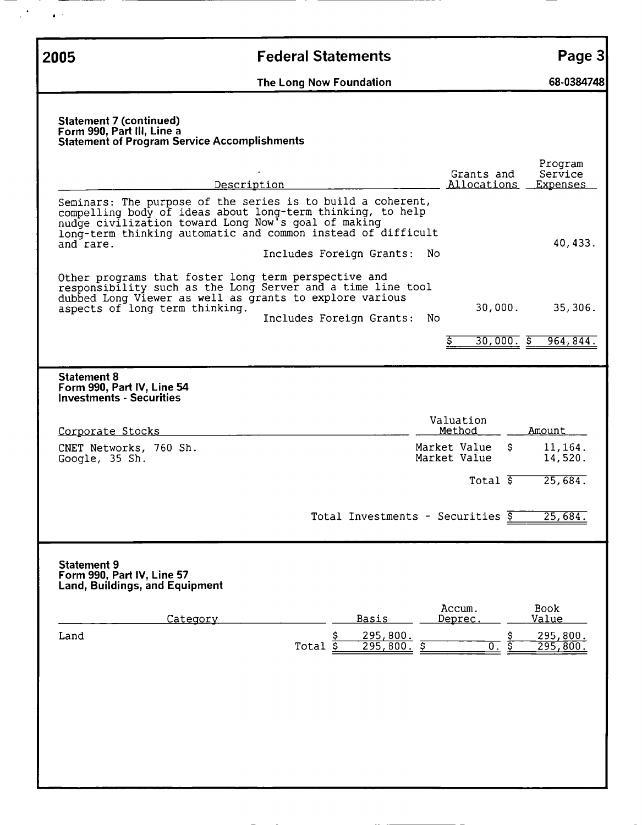$\sim$   $\bullet$   $^{-1}$ 

 $\mathcal{L}^{(k)}$ 

## 2005 Federal Statements Page 3

The Long Now Foundation **68-0384748** 

#### Statement 7 (continued) Form 990, Part III, Line a Statement of Program Service Accomplishments

| Description                                                                                                                                                                                                                                                                                      | Grants and<br>Allocations           | Program<br>Service<br>Expenses |
|--------------------------------------------------------------------------------------------------------------------------------------------------------------------------------------------------------------------------------------------------------------------------------------------------|-------------------------------------|--------------------------------|
| Seminars: The purpose of the series is to build a coherent,<br>compelling body of ideas about long-term thinking, to help<br>nudge civilization toward Long Now's goal of making<br>long-term thinking automatic and common instead of difficult<br>and rare.<br>Includes Foreign Grants:<br>N0. |                                     | 40, 433.                       |
| Other programs that foster long term perspective and<br>responsibility such as the Long Server and a time line tool<br>dubbed Long Viewer as well as grants to explore various<br>aspects of long term thinking.<br>Includes Foreign Grants:<br>No                                               | 30,000.<br>$30,000.$ \$             | 35,306.<br>964,844.            |
|                                                                                                                                                                                                                                                                                                  |                                     |                                |
| <b>Statement 8</b><br>Form 990, Part IV, Line 54<br><b>Investments - Securities</b>                                                                                                                                                                                                              |                                     |                                |
| Corporate Stocks                                                                                                                                                                                                                                                                                 | Valuation<br>Method                 | Amount                         |
| CNET Networks, 760 Sh.<br>Google, 35 Sh.                                                                                                                                                                                                                                                         | Market Value<br>\$.<br>Market Value | 11,164.<br>14,520.             |
|                                                                                                                                                                                                                                                                                                  | Total $\overline{s}$                | 25,684.                        |
| Total Investments - Securities \$                                                                                                                                                                                                                                                                |                                     | 25,684.                        |
| <b>Statement 9</b><br>Form 990, Part IV, Line 57<br><b>Land, Buildings, and Equipment</b>                                                                                                                                                                                                        |                                     |                                |
| <u>Basis</u><br>Category                                                                                                                                                                                                                                                                         | Accum.<br><u>Deprec.</u>            | <b>Book</b><br>Value           |
| $\frac{295,800}{295,800}$ .<br>Land<br>Total                                                                                                                                                                                                                                                     | $\overline{0}$ .                    | <u>295,800.</u><br>295,800.    |
|                                                                                                                                                                                                                                                                                                  |                                     |                                |
|                                                                                                                                                                                                                                                                                                  |                                     |                                |
|                                                                                                                                                                                                                                                                                                  |                                     |                                |
|                                                                                                                                                                                                                                                                                                  |                                     |                                |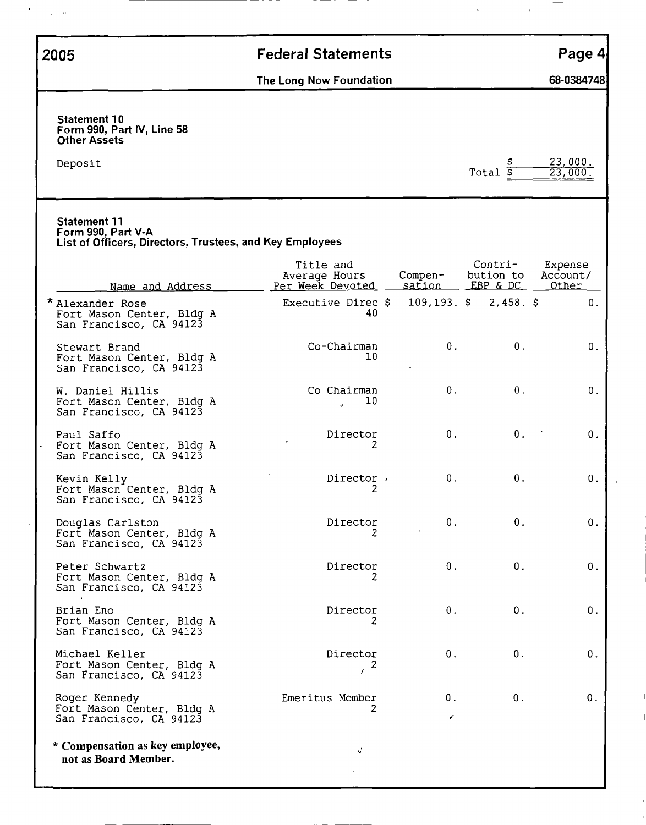$\sim$  $\overline{1}$ 

# 2005 Federal Statements Page 4

The Long Now Foundation 68-0384748

| <b>Statement 10</b><br>Form 990, Part IV, Line 58<br><b>Other Assets</b>                              |                                                |                   |                                  |                              |
|-------------------------------------------------------------------------------------------------------|------------------------------------------------|-------------------|----------------------------------|------------------------------|
| Deposit                                                                                               |                                                |                   | Total $\overline{s}$             | 23,000.<br>23.000            |
| <b>Statement 11</b><br>Form 990, Part V-A<br>List of Officers, Directors, Trustees, and Key Employees |                                                |                   |                                  |                              |
| Name and Address                                                                                      | Title and<br>Average Hours<br>Per Week Devoted | Compen-<br>sation | Contri-<br>bution to<br>EBP & DC | Expense<br>Account/<br>Other |
| * Alexander Rose<br>Fort Mason Center, Bldg A<br>San Francisco, CA 94123                              | Executive Direc \$<br>40                       | $109, 193.$ \$    | 2,458.5                          | 0.                           |
| Stewart Brand<br>Fort Mason Center, Bldg A<br>San Francisco, CA 94123                                 | Co-Chairman<br>10                              | 0.                | 0.                               | 0.                           |
| W. Daniel Hillis<br>Fort Mason Center, Bldg A<br>San Francisco, CA 94123                              | Co-Chairman<br>10                              | 0.                | 0.                               | 0.                           |
| Paul Saffo<br>Fort Mason Center, Bldg A<br>San Francisco, CA 94123                                    | Director<br>2                                  | $0$ .             | 0.                               | 0.                           |
| Kevin Kelly<br>Fort Mason Center, Bldg A<br>San Francisco, CA 94123                                   | Director.<br>2                                 | 0.                | 0.                               | 0.                           |
| Douglas Carlston<br>Fort Mason Center, Bldg A<br>San Francisco, CA 94123                              | Director<br>2                                  | 0.                | 0.                               | 0.                           |
| Peter Schwartz<br>Fort Mason Center, Bldg A<br>San Francisco, CA 94123                                | Director<br>z                                  | 0.                | $0$ .                            | 0.                           |
| Brian Eno<br>Fort Mason Center, Bldg A<br>San Francisco, CA 94123                                     | Director<br>2                                  | 0.                | 0.                               | 0.                           |
| Michael Keller<br>Fort Mason Center, Bldg A<br>San Francisco, CA 94123                                | Director<br>2<br>$\sqrt{ }$                    | 0.                | $0$ .                            | 0.                           |
| Roger Kennedy<br>Fort Mason Center, Bldg A<br>San Francisco, CA 94123                                 | Emeritus Member<br>2                           | 0.<br>₽           | 0.                               | 0.                           |
| * Compensation as key employee,<br>not as Board Member.                                               | $\boldsymbol{q}^{\prime}$                      |                   |                                  |                              |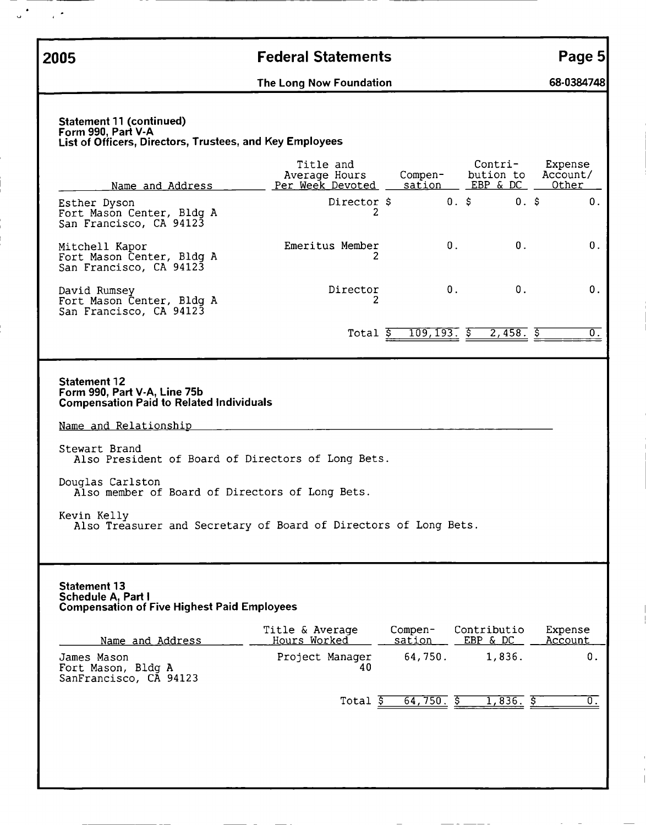$\frac{1}{2}$  .

 $\ddot{\phantom{a}}$ 

## 2005 Federal Statements Page 5

The Long Now Foundation **68-0384748** 

#### Statement 11 (continued) Form 990, Part V-A List of Officers, Directors, Trustees, and Key Employees

| Name and Address                                                                                       | Title and<br>Average Hours<br>Per Week Devoted | Compen-<br>sation | Contri-<br>bution to<br>EBP & DC | Expense<br>Account/<br>Other |  |
|--------------------------------------------------------------------------------------------------------|------------------------------------------------|-------------------|----------------------------------|------------------------------|--|
| Esther Dyson<br>Fort Mason Center, Bldg A<br>San Francisco, CA 94123                                   | Director \$<br>2                               |                   | $0.$ \$<br>$0.$ \$               | 0.                           |  |
| Mitchell Kapor<br>Fort Mason Center, Bldg A<br>San Francisco, CA 94123                                 | Emeritus Member<br>2                           | 0.                | 0.                               | 0.                           |  |
| David Rumsey<br>Fort Mason Center, Bldg A<br>San Francisco, CA 94123                                   | Director<br>2                                  | 0.                | 0.                               | 0.                           |  |
|                                                                                                        | Total $\overline{S}$                           | $109, 193.$ \$    | $2,458.$ \$                      | $\overline{0}$ .             |  |
| <b>Statement 12</b><br>Form 990, Part V-A, Line 75b<br><b>Compensation Paid to Related Individuals</b> |                                                |                   |                                  |                              |  |
| Name and Relationship                                                                                  |                                                |                   |                                  |                              |  |
| Stewart Brand<br>Also President of Board of Directors of Long Bets.                                    |                                                |                   |                                  |                              |  |
| Douglas Carlston<br>Also member of Board of Directors of Long Bets.                                    |                                                |                   |                                  |                              |  |
| Kevin Kelly<br>Also Treasurer and Secretary of Board of Directors of Long Bets.                        |                                                |                   |                                  |                              |  |
| <b>Statement 13</b><br>Schedule A, Part I<br><b>Compensation of Five Highest Paid Employees</b>        | Title & Average                                | Compen-           | Contributio                      | Expense                      |  |
| Name and Address                                                                                       | Hours Worked                                   | sation            | EBP & DC                         | Account                      |  |
| James Mason<br>Fort Mason, Bldg A<br>SanFrancisco, CA 94123                                            | Project Manager<br>40                          | 64,750.           | 1,836.                           | 0.                           |  |
|                                                                                                        | $Total$ $\frac{1}{5}$                          | 64,750.5          | $1,836.$ \$                      | $\overline{\mathfrak{o}}$ .  |  |
|                                                                                                        |                                                |                   |                                  |                              |  |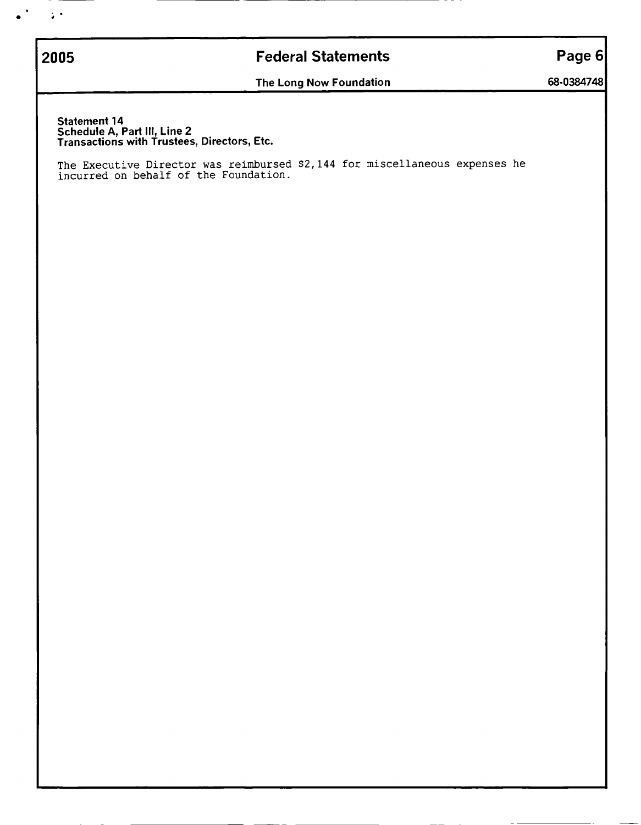2005

 $\sim 10^4$ 

 $\ddot{\phantom{a}}$ 

## Federal Statements

Page 6

The Long Now Foundation

68-0384748

Statement 14 Schedule A, Part II<u>I,</u> Line 2 Transactions with Trustees, Directors, Etc.

The Executive Director was reimbursed \$2,144 for miscellaneous expenses he incurred on behalf of the Foundation.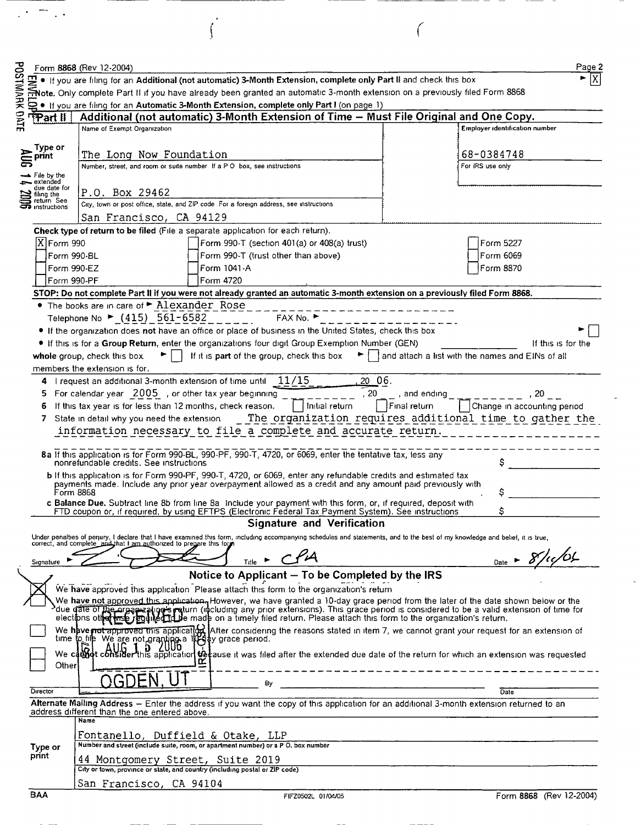|                                                                                                                                                   |                                             | Form 8868 (Rev 12-2004)                                                                                                                                                                                                                                                                                                                                                 |                                                                                        |              |  |  |
|---------------------------------------------------------------------------------------------------------------------------------------------------|---------------------------------------------|-------------------------------------------------------------------------------------------------------------------------------------------------------------------------------------------------------------------------------------------------------------------------------------------------------------------------------------------------------------------------|----------------------------------------------------------------------------------------|--------------|--|--|
| <b>POSTMARK OFTE</b>                                                                                                                              |                                             | . If you are filing for an Additional (not automatic) 3-Month Extension, complete only Part II and check this box                                                                                                                                                                                                                                                       |                                                                                        |              |  |  |
|                                                                                                                                                   |                                             | Mote. Only complete Part II if you have already been granted an automatic 3-month extension on a previously filed Form 8868                                                                                                                                                                                                                                             |                                                                                        |              |  |  |
|                                                                                                                                                   |                                             | (on page 1) If you are filing for an Automatic 3-Month Extension, complete only Part I (on page 1)                                                                                                                                                                                                                                                                      |                                                                                        |              |  |  |
|                                                                                                                                                   | PPart II                                    | Additional (not automatic) 3-Month Extension of Time - Must File Original and One Copy.                                                                                                                                                                                                                                                                                 |                                                                                        |              |  |  |
|                                                                                                                                                   |                                             | Name of Exempt Organization                                                                                                                                                                                                                                                                                                                                             | Employer identification number                                                         |              |  |  |
|                                                                                                                                                   | Type or                                     |                                                                                                                                                                                                                                                                                                                                                                         |                                                                                        |              |  |  |
|                                                                                                                                                   | print                                       | The Long Now Foundation<br>Number, street, and room or suite number If a P O box, see instructions                                                                                                                                                                                                                                                                      | 68-0384748<br>For IRS use only                                                         |              |  |  |
|                                                                                                                                                   | —⊾ File by the                              |                                                                                                                                                                                                                                                                                                                                                                         |                                                                                        |              |  |  |
|                                                                                                                                                   | extended<br>due date for                    | P.O. Box 29462                                                                                                                                                                                                                                                                                                                                                          |                                                                                        |              |  |  |
|                                                                                                                                                   | filing the<br>return See<br>⊐⊃ instructions | City, town or post office, state, and ZIP code For a foreign address, see instructions                                                                                                                                                                                                                                                                                  |                                                                                        |              |  |  |
|                                                                                                                                                   |                                             | San Francisco, CA 94129                                                                                                                                                                                                                                                                                                                                                 |                                                                                        |              |  |  |
|                                                                                                                                                   |                                             | Check type of return to be filed (File a separate application for each return).                                                                                                                                                                                                                                                                                         |                                                                                        |              |  |  |
|                                                                                                                                                   | X Form 990                                  | Form 990-T (section 401(a) or 408(a) trust)                                                                                                                                                                                                                                                                                                                             | Form 5227                                                                              |              |  |  |
|                                                                                                                                                   |                                             | Form 990-T (trust other than above)<br>Form 990-BL                                                                                                                                                                                                                                                                                                                      | Form 6069                                                                              |              |  |  |
|                                                                                                                                                   |                                             | Form 1041-A<br>Form 990-EZ                                                                                                                                                                                                                                                                                                                                              | Form 8870                                                                              |              |  |  |
|                                                                                                                                                   | Form 990-PF                                 | Form 4720                                                                                                                                                                                                                                                                                                                                                               |                                                                                        |              |  |  |
|                                                                                                                                                   |                                             | STOP: Do not complete Part II if you were not already granted an automatic 3-month extension on a previously filed Form 8868.                                                                                                                                                                                                                                           |                                                                                        |              |  |  |
|                                                                                                                                                   |                                             | • The books are in care of • Alexander Rose                                                                                                                                                                                                                                                                                                                             |                                                                                        |              |  |  |
|                                                                                                                                                   |                                             | Telephone No ► (415) 561-6582<br>FAX No. ▶                                                                                                                                                                                                                                                                                                                              |                                                                                        |              |  |  |
|                                                                                                                                                   |                                             | • If the organization does not have an office or place of business in the United States, check this box                                                                                                                                                                                                                                                                 |                                                                                        |              |  |  |
|                                                                                                                                                   |                                             | . If this is for a Group Return, enter the organizations four digit Group Exemption Number (GEN)                                                                                                                                                                                                                                                                        | If this is for the                                                                     |              |  |  |
|                                                                                                                                                   |                                             | If it is part of the group, check this box<br>whole group, check this box.                                                                                                                                                                                                                                                                                              | and attach a list with the names and EINs of all                                       |              |  |  |
|                                                                                                                                                   |                                             | members the extension is for.                                                                                                                                                                                                                                                                                                                                           |                                                                                        |              |  |  |
|                                                                                                                                                   | 4                                           | 20 06.<br>I request an additional 3-month extension of time until<br>- 11/15                                                                                                                                                                                                                                                                                            |                                                                                        |              |  |  |
|                                                                                                                                                   | 5                                           | $\frac{1}{2}$ , 20<br>For calendar year 2005, or other tax year beginning<br>Final return<br>Initial return                                                                                                                                                                                                                                                             | , 20<br>$-$ , and ending                                                               |              |  |  |
|                                                                                                                                                   | 6<br>7                                      | If this tax year is for less than 12 months, check reason.<br>State in detail why you need the extension                                                                                                                                                                                                                                                                | Change in accounting period<br>The organization requires additional time to gather the |              |  |  |
|                                                                                                                                                   |                                             | information necessary to file a complete and accurate return.                                                                                                                                                                                                                                                                                                           |                                                                                        |              |  |  |
|                                                                                                                                                   |                                             |                                                                                                                                                                                                                                                                                                                                                                         |                                                                                        |              |  |  |
|                                                                                                                                                   |                                             | 8a If this application is for Form 990-BL, 990-PF, 990-T, 4720, or 6069, enter the tentative tax, less any<br>nonrefundable credits. See instructions                                                                                                                                                                                                                   | Ś                                                                                      |              |  |  |
|                                                                                                                                                   |                                             | <b>b</b> If this application is for Form 990-PF, 990-T, 4720, or 6069, enter any refundable credits and estimated tax                                                                                                                                                                                                                                                   |                                                                                        |              |  |  |
|                                                                                                                                                   |                                             | payments made. Include any prior year overpayment allowed as a credit and any amount paid previously with                                                                                                                                                                                                                                                               |                                                                                        |              |  |  |
|                                                                                                                                                   |                                             | Form 8868<br>c Balance Due. Subtract line 8b from line 8a Include your payment with this form, or, if required, deposit with                                                                                                                                                                                                                                            | \$                                                                                     |              |  |  |
|                                                                                                                                                   |                                             | FTD coupon or, if required, by using EFTPS (Electronic Federal Tax Payment System). See instructions                                                                                                                                                                                                                                                                    | Ś                                                                                      |              |  |  |
|                                                                                                                                                   |                                             | <b>Signature and Verification</b>                                                                                                                                                                                                                                                                                                                                       |                                                                                        |              |  |  |
|                                                                                                                                                   |                                             | Under penalties of perjury, I declare that I have examined this form, including accompanying schedules and statements, and to the best of my knowledge and belief, it is true,                                                                                                                                                                                          |                                                                                        |              |  |  |
|                                                                                                                                                   |                                             | correct, and complete_and that I am authorized to prepare this form                                                                                                                                                                                                                                                                                                     |                                                                                        |              |  |  |
|                                                                                                                                                   | Signature                                   | $T_{\text{title}}$ $\sim$ $CFA$                                                                                                                                                                                                                                                                                                                                         | $_{\text{Date}}$ > 8/10/04                                                             |              |  |  |
|                                                                                                                                                   |                                             | Notice to Applicant - To be Completed by the IRS                                                                                                                                                                                                                                                                                                                        |                                                                                        |              |  |  |
|                                                                                                                                                   |                                             | We have approved this application Please attach this form to the organization's return                                                                                                                                                                                                                                                                                  |                                                                                        |              |  |  |
|                                                                                                                                                   |                                             | We have not approved this application, However, we have granted a 10-day grace period from the later of the date shown below or the<br>Paue date of the process return (including any prior extensions). This grace period is considered to be a valid extension of time for<br>elections other property and the made on a timely filed return. Please attach this form |                                                                                        |              |  |  |
|                                                                                                                                                   |                                             | We have not approved this application. After considering the reasons stated in item 7, we cannot grant your request for an extension of<br>time to file We are not granting a 100 ay grace period.<br>We cannot a complete the cont                                                                                                                                     |                                                                                        |              |  |  |
| We cannot consider this application to tause it was filed after the extended due date of the return for which an extension was requested<br>Other |                                             |                                                                                                                                                                                                                                                                                                                                                                         |                                                                                        |              |  |  |
|                                                                                                                                                   |                                             | RGDEN                                                                                                                                                                                                                                                                                                                                                                   |                                                                                        |              |  |  |
|                                                                                                                                                   | Director                                    | Вy                                                                                                                                                                                                                                                                                                                                                                      | <b>Date</b>                                                                            |              |  |  |
|                                                                                                                                                   |                                             | Alternate Mailing Address - Enter the address if you want the copy of this application for an additional 3-month extension returned to an                                                                                                                                                                                                                               |                                                                                        |              |  |  |
|                                                                                                                                                   |                                             | address different than the one entered above.<br><b>Name</b>                                                                                                                                                                                                                                                                                                            |                                                                                        |              |  |  |
|                                                                                                                                                   |                                             |                                                                                                                                                                                                                                                                                                                                                                         |                                                                                        |              |  |  |
|                                                                                                                                                   | Type or                                     | Fontanello, Duffield & Otake, LLP<br>Number and street (include suite, room, or apartment number) or a P O. box number                                                                                                                                                                                                                                                  |                                                                                        |              |  |  |
|                                                                                                                                                   | print                                       |                                                                                                                                                                                                                                                                                                                                                                         |                                                                                        |              |  |  |
|                                                                                                                                                   |                                             | 44 Montgomery Street, Suite 2019<br>City or town, province or state, and country (including postal or ZIP code)                                                                                                                                                                                                                                                         |                                                                                        | Page 2<br>ΙX |  |  |
|                                                                                                                                                   |                                             | San Francisco, CA 94104                                                                                                                                                                                                                                                                                                                                                 |                                                                                        |              |  |  |

 $\sqrt{ }$ 

 $-$ 

 $\mu\in\mathbb{R}^{n\times n}$  .

 $\int$ 

÷,